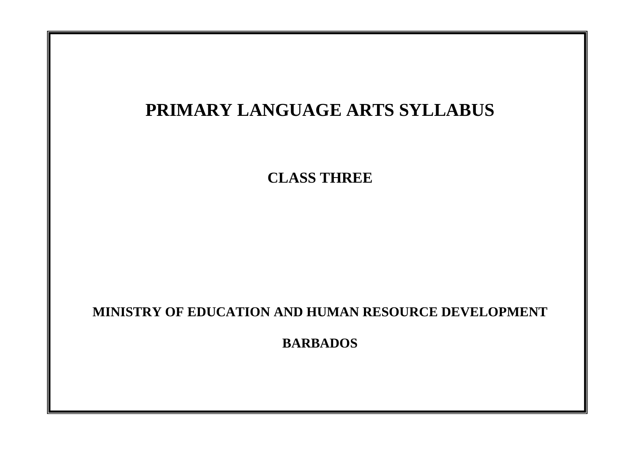# **PRIMARY LANGUAGE ARTS SYLLABUS CLASS THREE MINISTRY OF EDUCATION AND HUMAN RESOURCE DEVELOPMENT BARBADOS**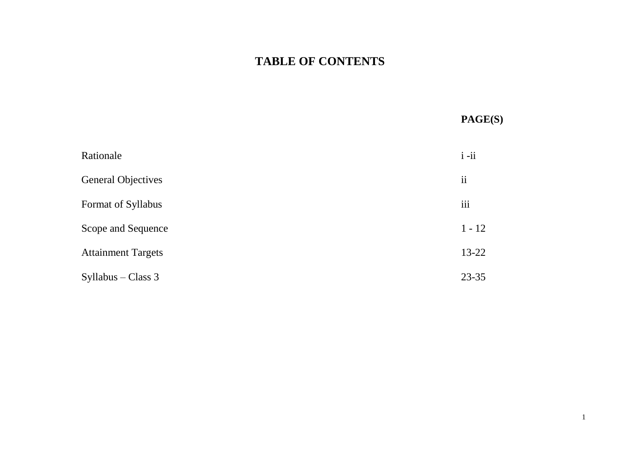# **TABLE OF CONTENTS**

# **PAGE(S)**

| Rationale                 | $i - ii$                 |
|---------------------------|--------------------------|
| <b>General Objectives</b> | $\overline{\textbf{ii}}$ |
| Format of Syllabus        | iii                      |
| Scope and Sequence        | $1 - 12$                 |
| <b>Attainment Targets</b> | $13 - 22$                |
| $Syllabus - Class 3$      | 23-35                    |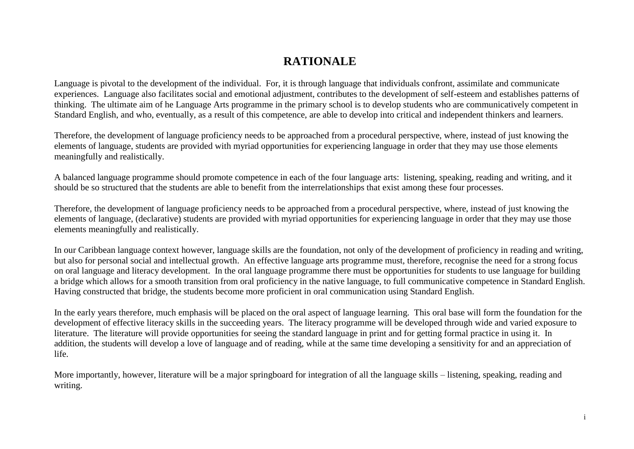# **RATIONALE**

Language is pivotal to the development of the individual. For, it is through language that individuals confront, assimilate and communicate experiences. Language also facilitates social and emotional adjustment, contributes to the development of self-esteem and establishes patterns of thinking. The ultimate aim of he Language Arts programme in the primary school is to develop students who are communicatively competent in Standard English, and who, eventually, as a result of this competence, are able to develop into critical and independent thinkers and learners.

Therefore, the development of language proficiency needs to be approached from a procedural perspective, where, instead of just knowing the elements of language, students are provided with myriad opportunities for experiencing language in order that they may use those elements meaningfully and realistically.

A balanced language programme should promote competence in each of the four language arts: listening, speaking, reading and writing, and it should be so structured that the students are able to benefit from the interrelationships that exist among these four processes.

Therefore, the development of language proficiency needs to be approached from a procedural perspective, where, instead of just knowing the elements of language, (declarative) students are provided with myriad opportunities for experiencing language in order that they may use those elements meaningfully and realistically.

In our Caribbean language context however, language skills are the foundation, not only of the development of proficiency in reading and writing, but also for personal social and intellectual growth. An effective language arts programme must, therefore, recognise the need for a strong focus on oral language and literacy development. In the oral language programme there must be opportunities for students to use language for building a bridge which allows for a smooth transition from oral proficiency in the native language, to full communicative competence in Standard English. Having constructed that bridge, the students become more proficient in oral communication using Standard English.

In the early years therefore, much emphasis will be placed on the oral aspect of language learning. This oral base will form the foundation for the development of effective literacy skills in the succeeding years. The literacy programme will be developed through wide and varied exposure to literature. The literature will provide opportunities for seeing the standard language in print and for getting formal practice in using it. In addition, the students will develop a love of language and of reading, while at the same time developing a sensitivity for and an appreciation of life.

More importantly, however, literature will be a major springboard for integration of all the language skills – listening, speaking, reading and writing.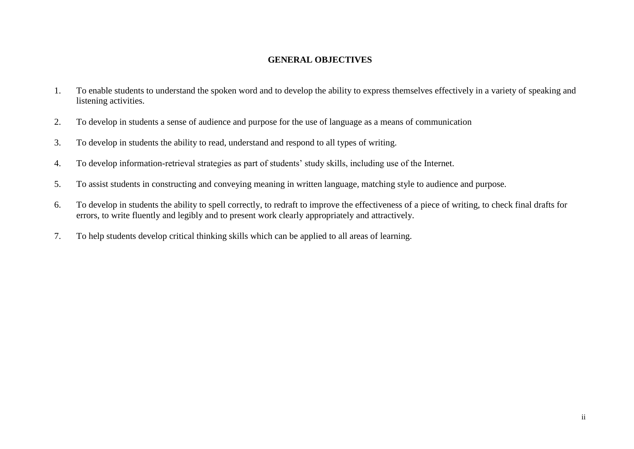# **GENERAL OBJECTIVES**

- 1. To enable students to understand the spoken word and to develop the ability to express themselves effectively in a variety of speaking and listening activities.
- 2. To develop in students a sense of audience and purpose for the use of language as a means of communication
- 3. To develop in students the ability to read, understand and respond to all types of writing.
- 4. To develop information-retrieval strategies as part of students' study skills, including use of the Internet.
- 5. To assist students in constructing and conveying meaning in written language, matching style to audience and purpose.
- 6. To develop in students the ability to spell correctly, to redraft to improve the effectiveness of a piece of writing, to check final drafts for errors, to write fluently and legibly and to present work clearly appropriately and attractively.
- 7. To help students develop critical thinking skills which can be applied to all areas of learning.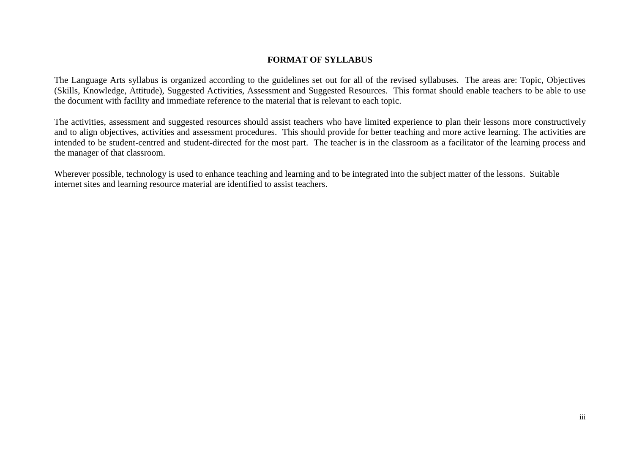## **FORMAT OF SYLLABUS**

The Language Arts syllabus is organized according to the guidelines set out for all of the revised syllabuses. The areas are: Topic, Objectives (Skills, Knowledge, Attitude), Suggested Activities, Assessment and Suggested Resources. This format should enable teachers to be able to use the document with facility and immediate reference to the material that is relevant to each topic.

The activities, assessment and suggested resources should assist teachers who have limited experience to plan their lessons more constructively and to align objectives, activities and assessment procedures. This should provide for better teaching and more active learning. The activities are intended to be student-centred and student-directed for the most part. The teacher is in the classroom as a facilitator of the learning process and the manager of that classroom.

Wherever possible, technology is used to enhance teaching and learning and to be integrated into the subject matter of the lessons. Suitable internet sites and learning resource material are identified to assist teachers.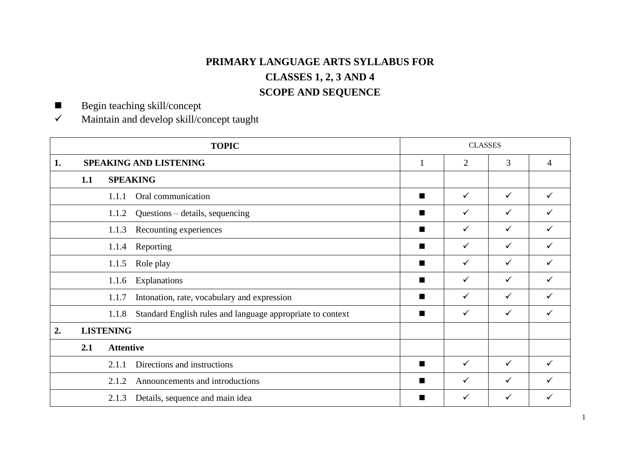# **PRIMARY LANGUAGE ARTS SYLLABUS FOR CLASSES 1, 2, 3 AND 4 SCOPE AND SEQUENCE**

Begin teaching skill/concept

 $\checkmark$  Maintain and develop skill/concept taught

|    |                                 |                  | <b>TOPIC</b>                                               |              | <b>CLASSES</b> |              |                |
|----|---------------------------------|------------------|------------------------------------------------------------|--------------|----------------|--------------|----------------|
| 1. | <b>SPEAKING AND LISTENING</b>   |                  |                                                            |              | $\overline{2}$ | 3            | $\overline{4}$ |
|    | 1.1                             |                  | <b>SPEAKING</b>                                            |              |                |              |                |
|    |                                 | 1.1.1            | Oral communication                                         | ш            | $\checkmark$   | $\checkmark$ | $\checkmark$   |
|    |                                 | 1.1.2            | Questions – details, sequencing                            | ш            | $\checkmark$   | $\checkmark$ | ✓              |
|    | Recounting experiences<br>1.1.3 |                  | ш                                                          | $\checkmark$ | $\checkmark$   | ✓            |                |
|    | Reporting<br>1.1.4              |                  | ш                                                          | $\checkmark$ | $\checkmark$   | $\checkmark$ |                |
|    |                                 | 1.1.5            | Role play                                                  | ш            | $\checkmark$   | $\checkmark$ | ✓              |
|    |                                 | 1.1.6            | Explanations                                               | ш            | $\checkmark$   | $\checkmark$ | ✓              |
|    |                                 | 1.1.7            | Intonation, rate, vocabulary and expression                | ш            | $\checkmark$   | $\checkmark$ | ✓              |
|    |                                 | 1.1.8            | Standard English rules and language appropriate to context | ш            | $\checkmark$   | $\checkmark$ | ✓              |
| 2. |                                 | <b>LISTENING</b> |                                                            |              |                |              |                |
|    | 2.1                             | <b>Attentive</b> |                                                            |              |                |              |                |
|    |                                 | 2.1.1            | Directions and instructions                                | ш            | $\checkmark$   | $\checkmark$ | ✓              |
|    |                                 | 2.1.2            | Announcements and introductions                            | ш            | ✓              | ✓            | ✓              |
|    |                                 | 2.1.3            | Details, sequence and main idea                            | ■            | $\checkmark$   | $\checkmark$ | ✓              |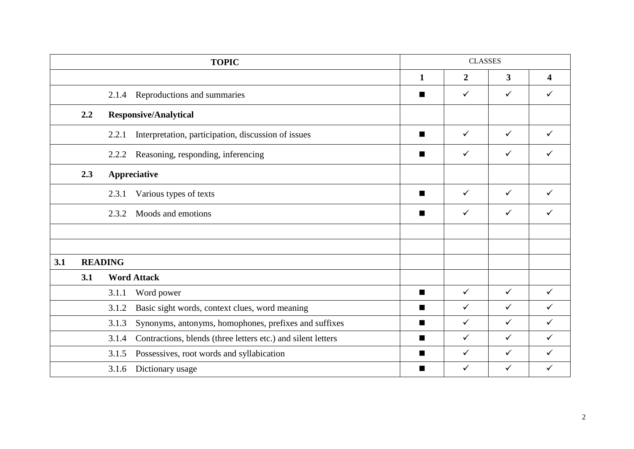|     |     |                | <b>TOPIC</b>                                                 | <b>CLASSES</b><br>$\overline{3}$<br>$\mathbf{1}$<br>$\boldsymbol{2}$<br>$\checkmark$<br>✓<br>ш<br>$\checkmark$<br>✓<br>$\blacksquare$<br>✓<br>$\checkmark$<br>ш |              |              |                         |
|-----|-----|----------------|--------------------------------------------------------------|-----------------------------------------------------------------------------------------------------------------------------------------------------------------|--------------|--------------|-------------------------|
|     |     |                |                                                              |                                                                                                                                                                 |              |              | $\overline{\mathbf{4}}$ |
|     |     | 2.1.4          | Reproductions and summaries                                  |                                                                                                                                                                 |              |              | $\checkmark$            |
|     | 2,2 |                | <b>Responsive/Analytical</b>                                 |                                                                                                                                                                 |              |              |                         |
|     |     | 2.2.1          | Interpretation, participation, discussion of issues          |                                                                                                                                                                 |              |              | $\checkmark$            |
|     |     | 2.2.2          | Reasoning, responding, inferencing                           |                                                                                                                                                                 |              |              | ✓                       |
|     | 2.3 |                | Appreciative                                                 |                                                                                                                                                                 |              |              |                         |
|     |     | 2.3.1          | Various types of texts                                       | ш                                                                                                                                                               | $\checkmark$ | $\checkmark$ | $\checkmark$            |
|     |     | 2.3.2          | Moods and emotions                                           | ш                                                                                                                                                               | $\checkmark$ | $\checkmark$ | ✓                       |
|     |     |                |                                                              |                                                                                                                                                                 |              |              |                         |
| 3.1 |     | <b>READING</b> |                                                              |                                                                                                                                                                 |              |              |                         |
|     | 3.1 |                | <b>Word Attack</b>                                           |                                                                                                                                                                 |              |              |                         |
|     |     | 3.1.1          | Word power                                                   | п                                                                                                                                                               | $\checkmark$ | $\checkmark$ | $\checkmark$            |
|     |     | 3.1.2          | Basic sight words, context clues, word meaning               | п                                                                                                                                                               | $\checkmark$ | $\checkmark$ | $\checkmark$            |
|     |     | 3.1.3          | Synonyms, antonyms, homophones, prefixes and suffixes        | ш                                                                                                                                                               | $\checkmark$ | $\checkmark$ | $\checkmark$            |
|     |     | 3.1.4          | Contractions, blends (three letters etc.) and silent letters | п                                                                                                                                                               | $\checkmark$ | $\checkmark$ | $\checkmark$            |
|     |     | 3.1.5          | Possessives, root words and syllabication                    | п                                                                                                                                                               | $\checkmark$ | ✓            | $\checkmark$            |
|     |     | 3.1.6          | Dictionary usage                                             | ш                                                                                                                                                               | $\checkmark$ | $\checkmark$ | $\checkmark$            |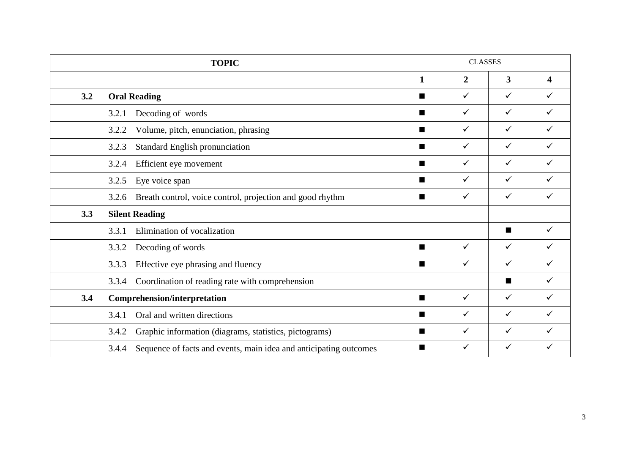|     | <b>TOPIC</b>                                                               |                | <b>CLASSES</b> |                |                         |
|-----|----------------------------------------------------------------------------|----------------|----------------|----------------|-------------------------|
|     |                                                                            | 1              | $\overline{2}$ | 3              | $\overline{\mathbf{4}}$ |
| 3.2 | <b>Oral Reading</b>                                                        | п              | $\checkmark$   | $\checkmark$   | ✓                       |
|     | Decoding of words<br>3.2.1                                                 | п              | $\checkmark$   | $\checkmark$   | ✓                       |
|     | Volume, pitch, enunciation, phrasing<br>3.2.2                              | ш              | $\checkmark$   | $\checkmark$   | ✓                       |
|     | 3.2.3<br><b>Standard English pronunciation</b>                             | ■              | $\checkmark$   | $\checkmark$   | ✓                       |
|     | Efficient eye movement<br>3.2.4                                            | ■              | $\checkmark$   | $\checkmark$   | ✓                       |
|     | Eye voice span<br>3.2.5                                                    | ■              | $\checkmark$   | $\checkmark$   | ✓                       |
|     | Breath control, voice control, projection and good rhythm<br>3.2.6         | ■              | $\checkmark$   | ✓              | ✓                       |
| 3.3 | <b>Silent Reading</b>                                                      |                |                |                |                         |
|     | Elimination of vocalization<br>3.3.1                                       |                |                | $\blacksquare$ | ✓                       |
|     | Decoding of words<br>3.3.2                                                 | $\blacksquare$ | $\checkmark$   | $\checkmark$   | ✓                       |
|     | Effective eye phrasing and fluency<br>3.3.3                                | ш              | $\checkmark$   | $\checkmark$   | ✓                       |
|     | Coordination of reading rate with comprehension<br>3.3.4                   |                |                | ш              | ✓                       |
| 3.4 | <b>Comprehension/interpretation</b>                                        | ш              | $\checkmark$   | $\checkmark$   | ✓                       |
|     | Oral and written directions<br>3.4.1                                       | п              | $\checkmark$   | $\checkmark$   | ✓                       |
|     | Graphic information (diagrams, statistics, pictograms)<br>3.4.2            | ш              | $\checkmark$   | $\checkmark$   | ✓                       |
|     | Sequence of facts and events, main idea and anticipating outcomes<br>3.4.4 | ■              | $\checkmark$   | $\checkmark$   |                         |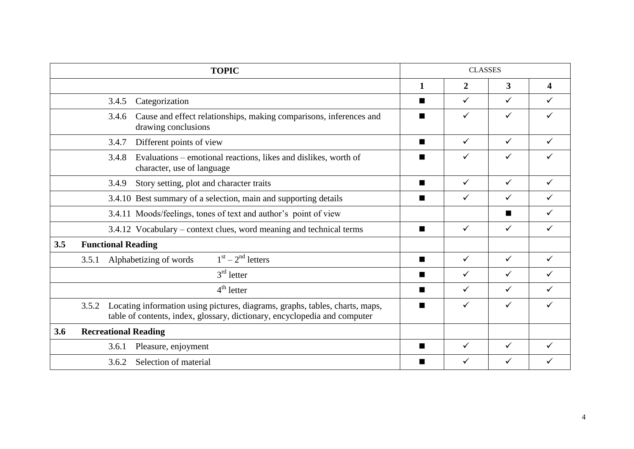|     | <b>TOPIC</b>                                                                                                                                                       |                | <b>CLASSES</b> |              |                         |
|-----|--------------------------------------------------------------------------------------------------------------------------------------------------------------------|----------------|----------------|--------------|-------------------------|
|     |                                                                                                                                                                    | $\mathbf{1}$   | $\overline{2}$ | 3            | $\overline{\mathbf{4}}$ |
|     | Categorization<br>3.4.5                                                                                                                                            | ш              | $\checkmark$   | $\checkmark$ | ✓                       |
|     | Cause and effect relationships, making comparisons, inferences and<br>3.4.6<br>drawing conclusions                                                                 | п              | ✓              | $\checkmark$ |                         |
|     | Different points of view<br>3.4.7                                                                                                                                  | ш              | $\checkmark$   | $\checkmark$ | ✓                       |
|     | Evaluations – emotional reactions, likes and dislikes, worth of<br>3.4.8<br>character, use of language                                                             | п              | ✓              | $\checkmark$ |                         |
|     | Story setting, plot and character traits<br>3.4.9                                                                                                                  | ш              | $\checkmark$   | $\checkmark$ |                         |
|     | 3.4.10 Best summary of a selection, main and supporting details                                                                                                    | ш              | $\checkmark$   | ✓            |                         |
|     | 3.4.11 Moods/feelings, tones of text and author's point of view                                                                                                    |                |                | ■            | ✓                       |
|     | 3.4.12 Vocabulary – context clues, word meaning and technical terms                                                                                                | п              | $\checkmark$   | $\checkmark$ | ✓                       |
| 3.5 | <b>Functional Reading</b>                                                                                                                                          |                |                |              |                         |
|     | $1st - 2nd letters$<br>Alphabetizing of words<br>3.5.1                                                                                                             | $\blacksquare$ | $\checkmark$   | $\checkmark$ | $\checkmark$            |
|     | $3rd$ letter                                                                                                                                                       | $\blacksquare$ | $\checkmark$   | $\checkmark$ | ✓                       |
|     | $4th$ letter                                                                                                                                                       | ш              | $\checkmark$   | $\checkmark$ | ✓                       |
|     | Locating information using pictures, diagrams, graphs, tables, charts, maps,<br>3.5.2<br>table of contents, index, glossary, dictionary, encyclopedia and computer | ш              | $\checkmark$   | $\checkmark$ | ✓                       |
| 3.6 | <b>Recreational Reading</b>                                                                                                                                        |                |                |              |                         |
|     | Pleasure, enjoyment<br>3.6.1                                                                                                                                       | ш              | $\checkmark$   | $\checkmark$ | ✓                       |
|     | 3.6.2<br>Selection of material                                                                                                                                     |                | ✓              | ✓            |                         |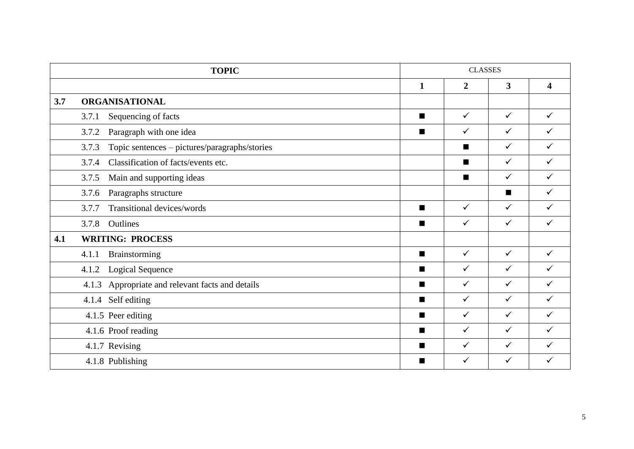|     | <b>TOPIC</b>                                           |                | <b>CLASSES</b> |                         |                         |
|-----|--------------------------------------------------------|----------------|----------------|-------------------------|-------------------------|
|     |                                                        | $\mathbf{1}$   | $\overline{2}$ | $\overline{\mathbf{3}}$ | $\overline{\mathbf{4}}$ |
| 3.7 | <b>ORGANISATIONAL</b>                                  |                |                |                         |                         |
|     | Sequencing of facts<br>3.7.1                           | п              | $\checkmark$   | $\checkmark$            | ✓                       |
|     | Paragraph with one idea<br>3.7.2                       | $\blacksquare$ | $\checkmark$   | $\checkmark$            | $\checkmark$            |
|     | Topic sentences - pictures/paragraphs/stories<br>3.7.3 |                | п              | $\checkmark$            | $\checkmark$            |
|     | Classification of facts/events etc.<br>3.7.4           |                | $\blacksquare$ | $\checkmark$            | $\checkmark$            |
|     | 3.7.5<br>Main and supporting ideas                     |                | п              | $\checkmark$            | $\checkmark$            |
|     | 3.7.6<br>Paragraphs structure                          |                |                | $\blacksquare$          | ✓                       |
|     | Transitional devices/words<br>3.7.7                    | ш              | $\checkmark$   | $\checkmark$            | ✓                       |
|     | Outlines<br>3.7.8                                      | ш              | $\checkmark$   | $\checkmark$            | $\checkmark$            |
| 4.1 | <b>WRITING: PROCESS</b>                                |                |                |                         |                         |
|     | Brainstorming<br>4.1.1                                 | п              | $\checkmark$   | $\checkmark$            | $\checkmark$            |
|     | <b>Logical Sequence</b><br>4.1.2                       | п              | $\checkmark$   | $\checkmark$            | $\checkmark$            |
|     | Appropriate and relevant facts and details<br>4.1.3    | $\blacksquare$ | $\checkmark$   | $\checkmark$            | $\checkmark$            |
|     | 4.1.4 Self editing                                     | $\blacksquare$ | $\checkmark$   | $\checkmark$            | $\checkmark$            |
|     | 4.1.5 Peer editing                                     | п              | $\checkmark$   | $\checkmark$            | $\checkmark$            |
|     | 4.1.6 Proof reading                                    | ш              | $\checkmark$   | $\checkmark$            | ✓                       |
|     | 4.1.7 Revising                                         | $\blacksquare$ | $\checkmark$   | $\checkmark$            | ✓                       |
|     | 4.1.8 Publishing                                       | ш              | $\checkmark$   | $\checkmark$            | ✓                       |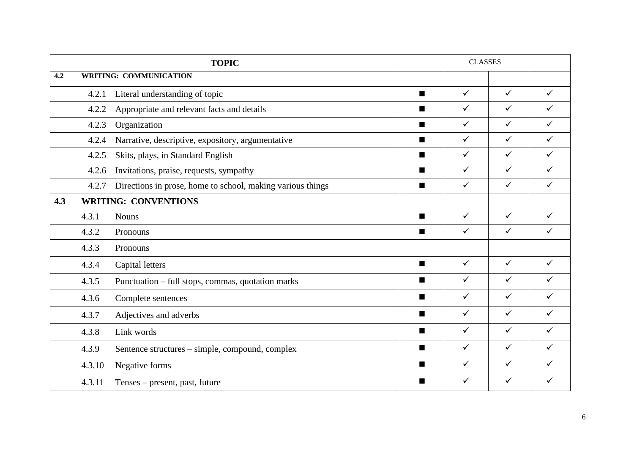|     |                                                                     | <b>TOPIC</b>                                      |                | <b>CLASSES</b> |              |              |
|-----|---------------------------------------------------------------------|---------------------------------------------------|----------------|----------------|--------------|--------------|
| 4.2 |                                                                     | <b>WRITING: COMMUNICATION</b>                     |                |                |              |              |
|     | 4.2.1                                                               | Literal understanding of topic                    | $\blacksquare$ | $\checkmark$   | $\checkmark$ | $\checkmark$ |
|     | 4.2.2                                                               | Appropriate and relevant facts and details        | $\blacksquare$ | $\checkmark$   | $\checkmark$ | $\checkmark$ |
|     | 4.2.3                                                               | Organization                                      | п              | $\checkmark$   | $\checkmark$ | $\checkmark$ |
|     | 4.2.4                                                               | Narrative, descriptive, expository, argumentative | $\blacksquare$ | $\checkmark$   | $\checkmark$ | $\checkmark$ |
|     | 4.2.5                                                               | Skits, plays, in Standard English                 | $\blacksquare$ | $\checkmark$   | $\checkmark$ | $\checkmark$ |
|     | 4.2.6                                                               | Invitations, praise, requests, sympathy           | $\blacksquare$ | $\checkmark$   | $\checkmark$ | $\checkmark$ |
|     | Directions in prose, home to school, making various things<br>4.2.7 |                                                   | $\blacksquare$ | $\checkmark$   | $\checkmark$ | ✓            |
| 4.3 |                                                                     | <b>WRITING: CONVENTIONS</b>                       |                |                |              |              |
|     | 4.3.1                                                               | <b>Nouns</b>                                      | п              | $\checkmark$   | $\checkmark$ | $\checkmark$ |
|     | 4.3.2                                                               | Pronouns                                          | ш              | $\checkmark$   | $\checkmark$ | ✓            |
|     | 4.3.3                                                               | Pronouns                                          |                |                |              |              |
|     | 4.3.4                                                               | Capital letters                                   | $\blacksquare$ | $\checkmark$   | $\checkmark$ | $\checkmark$ |
|     | 4.3.5                                                               | Punctuation – full stops, commas, quotation marks | п              | $\checkmark$   | $\checkmark$ | $\checkmark$ |
|     | 4.3.6                                                               | Complete sentences                                | п              | $\checkmark$   | $\checkmark$ | $\checkmark$ |
|     | 4.3.7                                                               | Adjectives and adverbs                            | п              | $\checkmark$   | $\checkmark$ | $\checkmark$ |
|     | 4.3.8                                                               | Link words                                        | $\blacksquare$ | $\checkmark$   | $\checkmark$ | ✓            |
|     | 4.3.9                                                               | Sentence structures – simple, compound, complex   | п              | $\checkmark$   | $\checkmark$ | $\checkmark$ |
|     | 4.3.10                                                              | Negative forms                                    | $\blacksquare$ | $\checkmark$   | $\checkmark$ | $\checkmark$ |
|     | 4.3.11                                                              | Tenses – present, past, future                    | $\blacksquare$ | $\checkmark$   | $\checkmark$ | $\checkmark$ |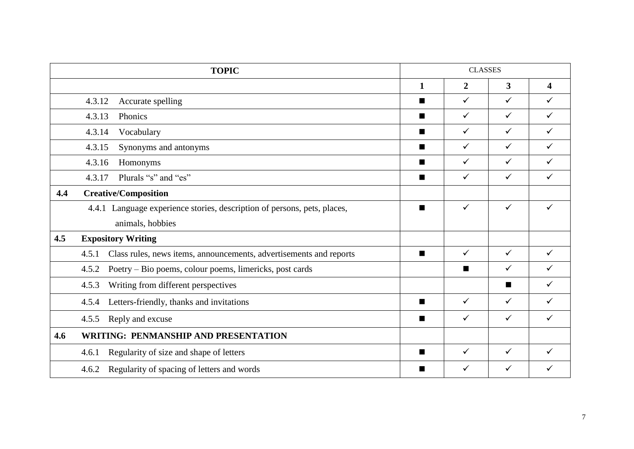|     | <b>TOPIC</b>                                                                |                | <b>CLASSES</b> |              |                         |
|-----|-----------------------------------------------------------------------------|----------------|----------------|--------------|-------------------------|
|     |                                                                             | $\mathbf{1}$   | $\overline{2}$ | 3            | $\overline{\mathbf{4}}$ |
|     | 4.3.12<br>Accurate spelling                                                 | ш              | $\checkmark$   | $\checkmark$ | ✓                       |
|     | 4.3.13<br>Phonics                                                           | ш              | $\checkmark$   | $\checkmark$ | ✓                       |
|     | 4.3.14<br>Vocabulary                                                        | $\blacksquare$ | $\checkmark$   | $\checkmark$ | $\checkmark$            |
|     | Synonyms and antonyms<br>4.3.15                                             | $\blacksquare$ | $\checkmark$   | $\checkmark$ | $\checkmark$            |
|     | 4.3.16<br>Homonyms                                                          | п              | $\checkmark$   | $\checkmark$ | $\checkmark$            |
|     | Plurals "s" and "es"<br>4.3.17                                              | п              | $\checkmark$   | $\checkmark$ | ✓                       |
| 4.4 | <b>Creative/Composition</b>                                                 |                |                |              |                         |
|     | 4.4.1 Language experience stories, description of persons, pets, places,    | п              | $\checkmark$   | $\checkmark$ | ✓                       |
|     | animals, hobbies                                                            |                |                |              |                         |
| 4.5 | <b>Expository Writing</b>                                                   |                |                |              |                         |
|     | Class rules, news items, announcements, advertisements and reports<br>4.5.1 | $\blacksquare$ | $\checkmark$   | $\checkmark$ | ✓                       |
|     | 4.5.2<br>Poetry – Bio poems, colour poems, limericks, post cards            |                | $\blacksquare$ | $\checkmark$ | ✓                       |
|     | Writing from different perspectives<br>4.5.3                                |                |                | ■            | ✓                       |
|     | Letters-friendly, thanks and invitations<br>4.5.4                           | $\blacksquare$ | $\checkmark$   | $\checkmark$ | ✓                       |
|     | Reply and excuse<br>4.5.5                                                   | ш              | $\checkmark$   | $\checkmark$ | ✓                       |
| 4.6 | <b>WRITING: PENMANSHIP AND PRESENTATION</b>                                 |                |                |              |                         |
|     | Regularity of size and shape of letters<br>4.6.1                            | п              | $\checkmark$   | $\checkmark$ | ✓                       |
|     | Regularity of spacing of letters and words<br>4.6.2                         | ■              | $\checkmark$   | $\checkmark$ | ✓                       |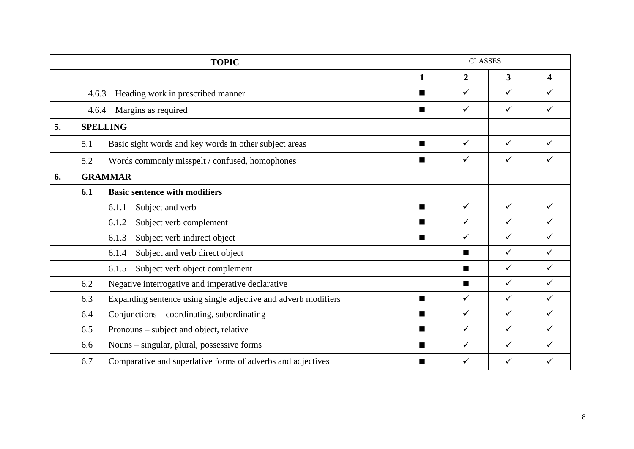|    |                                                                                                                                                                                                                                                                                                                                                                                                                                                                                                                                                                                                                                                                                                                                                                                                                                                                 | <b>TOPIC</b> |                | <b>CLASSES</b> |              |                         |
|----|-----------------------------------------------------------------------------------------------------------------------------------------------------------------------------------------------------------------------------------------------------------------------------------------------------------------------------------------------------------------------------------------------------------------------------------------------------------------------------------------------------------------------------------------------------------------------------------------------------------------------------------------------------------------------------------------------------------------------------------------------------------------------------------------------------------------------------------------------------------------|--------------|----------------|----------------|--------------|-------------------------|
|    |                                                                                                                                                                                                                                                                                                                                                                                                                                                                                                                                                                                                                                                                                                                                                                                                                                                                 |              | 1              | $\overline{2}$ | 3            | $\overline{\mathbf{4}}$ |
|    | Heading work in prescribed manner<br>4.6.3<br>Margins as required<br>4.6.4<br><b>SPELLING</b><br>Basic sight words and key words in other subject areas<br>5.1<br>5.2<br>Words commonly misspelt / confused, homophones<br><b>GRAMMAR</b><br>6.1<br><b>Basic sentence with modifiers</b><br>6.1.1<br>Subject and verb<br>Subject verb complement<br>6.1.2<br>Subject verb indirect object<br>6.1.3<br>Subject and verb direct object<br>6.1.4<br>Subject verb object complement<br>6.1.5<br>Negative interrogative and imperative declarative<br>6.2<br>6.3<br>Expanding sentence using single adjective and adverb modifiers<br>Conjunctions – coordinating, subordinating<br>6.4<br>6.5<br>Pronouns – subject and object, relative<br>6.6<br>Nouns – singular, plural, possessive forms<br>6.7<br>Comparative and superlative forms of adverbs and adjectives |              | ш              | $\checkmark$   | $\checkmark$ | ✓                       |
|    |                                                                                                                                                                                                                                                                                                                                                                                                                                                                                                                                                                                                                                                                                                                                                                                                                                                                 |              | ш              | $\checkmark$   | $\checkmark$ | $\checkmark$            |
| 5. |                                                                                                                                                                                                                                                                                                                                                                                                                                                                                                                                                                                                                                                                                                                                                                                                                                                                 |              |                |                |              |                         |
|    |                                                                                                                                                                                                                                                                                                                                                                                                                                                                                                                                                                                                                                                                                                                                                                                                                                                                 |              | ш              | $\checkmark$   | $\checkmark$ | ✓                       |
|    |                                                                                                                                                                                                                                                                                                                                                                                                                                                                                                                                                                                                                                                                                                                                                                                                                                                                 |              | ш              | $\checkmark$   | $\checkmark$ |                         |
| 6. |                                                                                                                                                                                                                                                                                                                                                                                                                                                                                                                                                                                                                                                                                                                                                                                                                                                                 |              |                |                |              |                         |
|    |                                                                                                                                                                                                                                                                                                                                                                                                                                                                                                                                                                                                                                                                                                                                                                                                                                                                 |              |                |                |              |                         |
|    |                                                                                                                                                                                                                                                                                                                                                                                                                                                                                                                                                                                                                                                                                                                                                                                                                                                                 |              | п              | $\checkmark$   | $\checkmark$ | $\checkmark$            |
|    |                                                                                                                                                                                                                                                                                                                                                                                                                                                                                                                                                                                                                                                                                                                                                                                                                                                                 |              | ш              | $\checkmark$   | $\checkmark$ | ✓                       |
|    |                                                                                                                                                                                                                                                                                                                                                                                                                                                                                                                                                                                                                                                                                                                                                                                                                                                                 |              | $\blacksquare$ | $\checkmark$   | $\checkmark$ | ✓                       |
|    |                                                                                                                                                                                                                                                                                                                                                                                                                                                                                                                                                                                                                                                                                                                                                                                                                                                                 |              |                | ш              | $\checkmark$ | ✓                       |
|    |                                                                                                                                                                                                                                                                                                                                                                                                                                                                                                                                                                                                                                                                                                                                                                                                                                                                 |              |                | $\blacksquare$ | $\checkmark$ | $\checkmark$            |
|    |                                                                                                                                                                                                                                                                                                                                                                                                                                                                                                                                                                                                                                                                                                                                                                                                                                                                 |              |                | $\blacksquare$ | $\checkmark$ | $\checkmark$            |
|    |                                                                                                                                                                                                                                                                                                                                                                                                                                                                                                                                                                                                                                                                                                                                                                                                                                                                 |              | ■              | $\checkmark$   | $\checkmark$ | ✓                       |
|    |                                                                                                                                                                                                                                                                                                                                                                                                                                                                                                                                                                                                                                                                                                                                                                                                                                                                 |              | $\blacksquare$ | $\checkmark$   | $\checkmark$ | ✓                       |
|    |                                                                                                                                                                                                                                                                                                                                                                                                                                                                                                                                                                                                                                                                                                                                                                                                                                                                 |              | ш              | $\checkmark$   | $\checkmark$ | $\checkmark$            |
|    |                                                                                                                                                                                                                                                                                                                                                                                                                                                                                                                                                                                                                                                                                                                                                                                                                                                                 |              | $\blacksquare$ | $\checkmark$   | $\checkmark$ | ✓                       |
|    |                                                                                                                                                                                                                                                                                                                                                                                                                                                                                                                                                                                                                                                                                                                                                                                                                                                                 |              | ■              | ✓              | $\checkmark$ | ✓                       |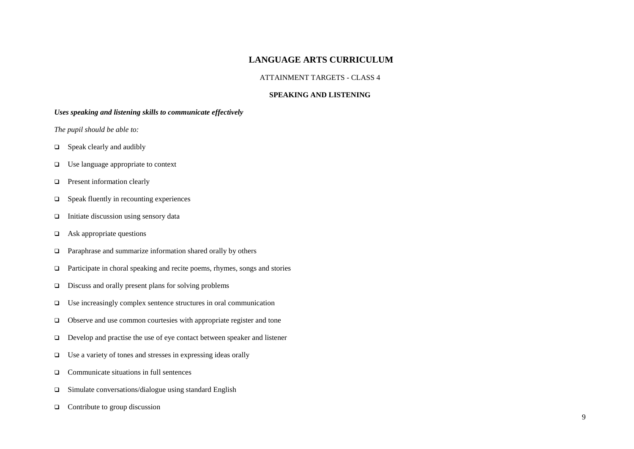## **LANGUAGE ARTS CURRICULUM**

#### ATTAINMENT TARGETS - CLASS 4

#### **SPEAKING AND LISTENING**

#### *Uses speaking and listening skills to communicate effectively*

- $\Box$  Speak clearly and audibly
- □ Use language appropriate to context
- **D** Present information clearly
- $\Box$  Speak fluently in recounting experiences
- $\Box$  Initiate discussion using sensory data
- $\Box$  Ask appropriate questions
- □ Paraphrase and summarize information shared orally by others
- $\Box$  Participate in choral speaking and recite poems, rhymes, songs and stories
- $\Box$  Discuss and orally present plans for solving problems
- $\Box$  Use increasingly complex sentence structures in oral communication
- Observe and use common courtesies with appropriate register and tone
- Develop and practise the use of eye contact between speaker and listener
- Use a variety of tones and stresses in expressing ideas orally
- □ Communicate situations in full sentences
- $\square$  Simulate conversations/dialogue using standard English
- $\Box$  Contribute to group discussion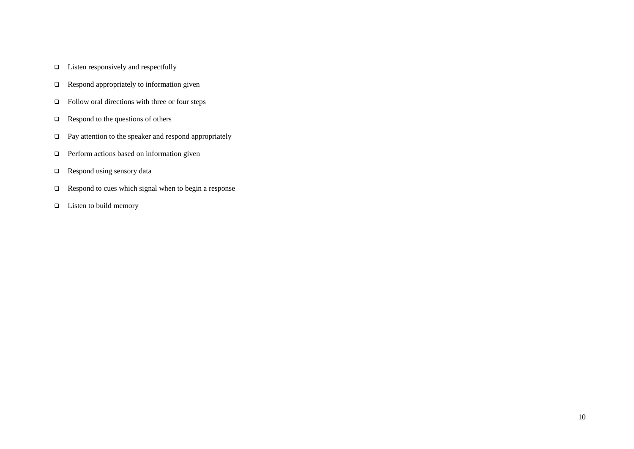- $\Box$  Listen responsively and respectfully
- **Q** Respond appropriately to information given
- □ Follow oral directions with three or four steps
- $\Box$  Respond to the questions of others
- □ Pay attention to the speaker and respond appropriately
- **Perform actions based on information given**
- $\Box$  Respond using sensory data
- **Q** Respond to cues which signal when to begin a response
- $\Box$  Listen to build memory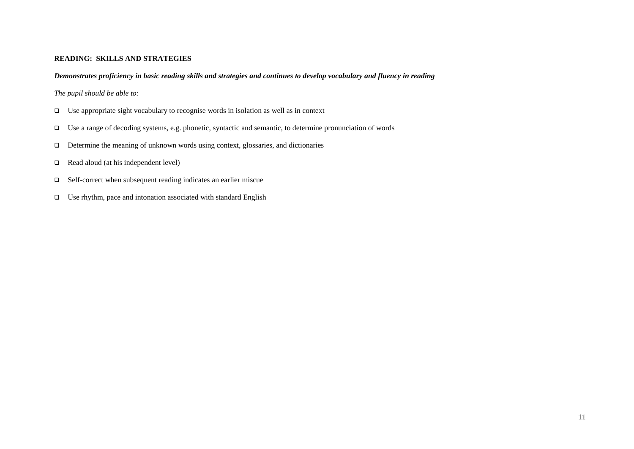#### **READING: SKILLS AND STRATEGIES**

#### *Demonstrates proficiency in basic reading skills and strategies and continues to develop vocabulary and fluency in reading*

- Use appropriate sight vocabulary to recognise words in isolation as well as in context
- Use a range of decoding systems, e.g. phonetic, syntactic and semantic, to determine pronunciation of words
- $\Box$  Determine the meaning of unknown words using context, glossaries, and dictionaries
- Read aloud (at his independent level)
- □ Self-correct when subsequent reading indicates an earlier miscue
- $\Box$  Use rhythm, pace and intonation associated with standard English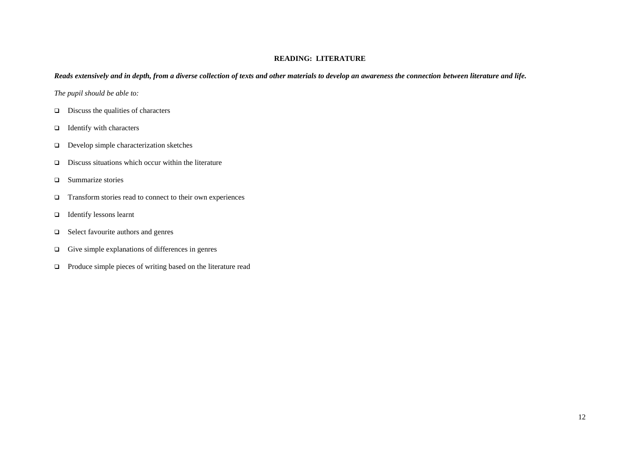#### **READING: LITERATURE**

#### *Reads extensively and in depth, from a diverse collection of texts and other materials to develop an awareness the connection between literature and life.*

- $\Box$  Discuss the qualities of characters
- $\Box$  Identify with characters
- Develop simple characterization sketches
- $\Box$  Discuss situations which occur within the literature
- **Q** Summarize stories
- $\Box$  Transform stories read to connect to their own experiences
- Identify lessons learnt
- □ Select favourite authors and genres
- $\Box$  Give simple explanations of differences in genres
- Produce simple pieces of writing based on the literature read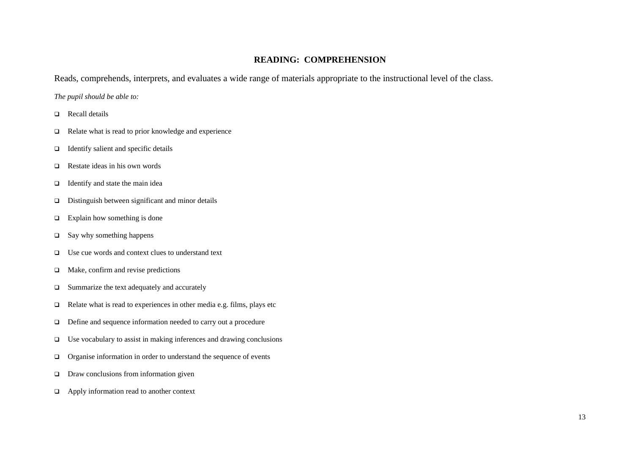#### **READING: COMPREHENSION**

Reads, comprehends, interprets, and evaluates a wide range of materials appropriate to the instructional level of the class.

- Recall details
- $\Box$  Relate what is read to prior knowledge and experience
- $\Box$  Identify salient and specific details
- $\Box$  Restate ideas in his own words
- $\Box$  Identify and state the main idea
- Distinguish between significant and minor details
- $\Box$  Explain how something is done
- $\square$  Say why something happens
- $\Box$  Use cue words and context clues to understand text
- $\Box$  Make, confirm and revise predictions
- $\Box$  Summarize the text adequately and accurately
- $\Box$  Relate what is read to experiences in other media e.g. films, plays etc
- □ Define and sequence information needed to carry out a procedure
- $\Box$  Use vocabulary to assist in making inferences and drawing conclusions
- Organise information in order to understand the sequence of events
- $\Box$  Draw conclusions from information given
- Apply information read to another context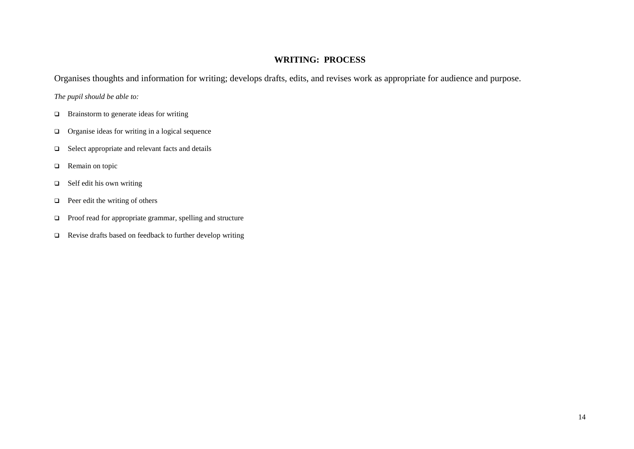# **WRITING: PROCESS**

Organises thoughts and information for writing; develops drafts, edits, and revises work as appropriate for audience and purpose.

- $\Box$  Brainstorm to generate ideas for writing
- Organise ideas for writing in a logical sequence
- $\Box$  Select appropriate and relevant facts and details
- **Q** Remain on topic
- $\Box$  Self edit his own writing
- **Peer edit the writing of others**
- Proof read for appropriate grammar, spelling and structure
- Revise drafts based on feedback to further develop writing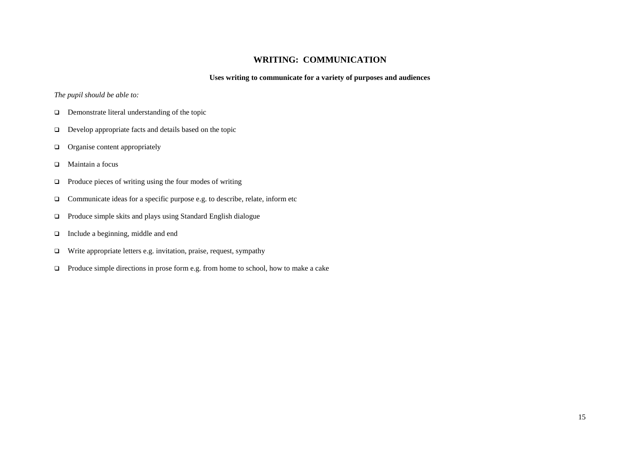## **WRITING: COMMUNICATION**

#### **Uses writing to communicate for a variety of purposes and audiences**

- **D** Demonstrate literal understanding of the topic
- $\Box$  Develop appropriate facts and details based on the topic
- $\Box$  Organise content appropriately
- □ Maintain a focus
- $\Box$  Produce pieces of writing using the four modes of writing
- $\Box$  Communicate ideas for a specific purpose e.g. to describe, relate, inform etc
- Produce simple skits and plays using Standard English dialogue
- □ Include a beginning, middle and end
- $\Box$  Write appropriate letters e.g. invitation, praise, request, sympathy
- $\Box$  Produce simple directions in prose form e.g. from home to school, how to make a cake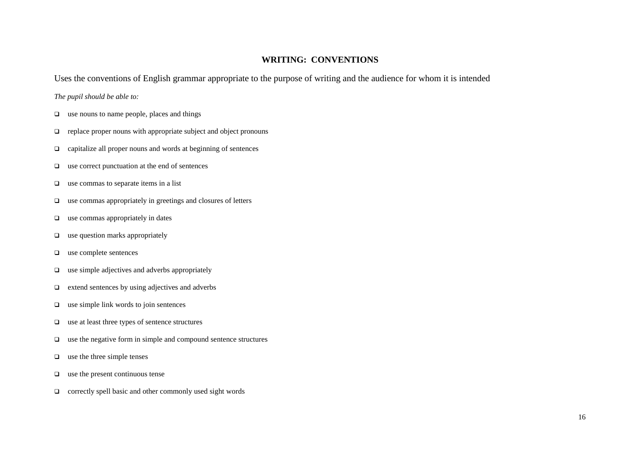## **WRITING: CONVENTIONS**

Uses the conventions of English grammar appropriate to the purpose of writing and the audience for whom it is intended

- $\Box$  use nouns to name people, places and things
- $\Box$  replace proper nouns with appropriate subject and object pronouns
- capitalize all proper nouns and words at beginning of sentences
- $\Box$  use correct punctuation at the end of sentences
- $\Box$  use commas to separate items in a list
- $\Box$  use commas appropriately in greetings and closures of letters
- $\Box$  use commas appropriately in dates
- $\Box$  use question marks appropriately
- $\Box$  use complete sentences
- $\Box$  use simple adjectives and adverbs appropriately
- $\Box$  extend sentences by using adjectives and adverbs
- $\Box$  use simple link words to join sentences
- use at least three types of sentence structures
- $\Box$  use the negative form in simple and compound sentence structures
- $\Box$  use the three simple tenses
- $\Box$  use the present continuous tense
- $\Box$  correctly spell basic and other commonly used sight words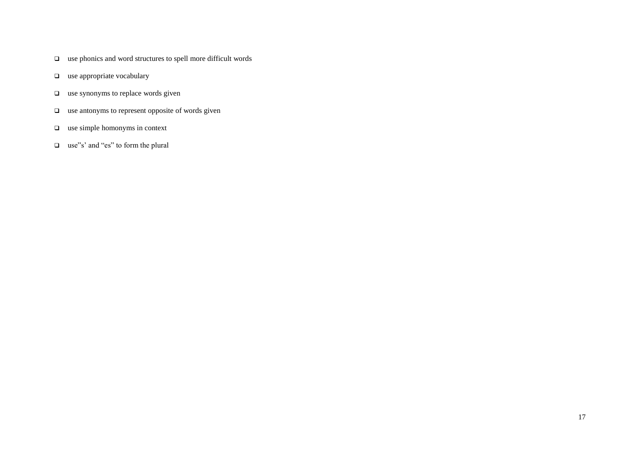- $\Box$  use phonics and word structures to spell more difficult words
- $\Box$  use appropriate vocabulary
- $\Box$  use synonyms to replace words given
- $\Box$  use antonyms to represent opposite of words given
- $\Box$  use simple homonyms in context
- □ use"s' and "es" to form the plural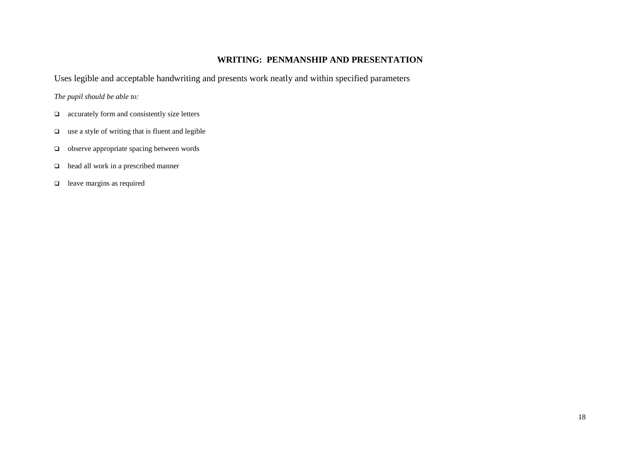## **WRITING: PENMANSHIP AND PRESENTATION**

Uses legible and acceptable handwriting and presents work neatly and within specified parameters

- $\Box$  accurately form and consistently size letters
- $\Box$  use a style of writing that is fluent and legible
- □ observe appropriate spacing between words
- head all work in a prescribed manner
- $\Box$  leave margins as required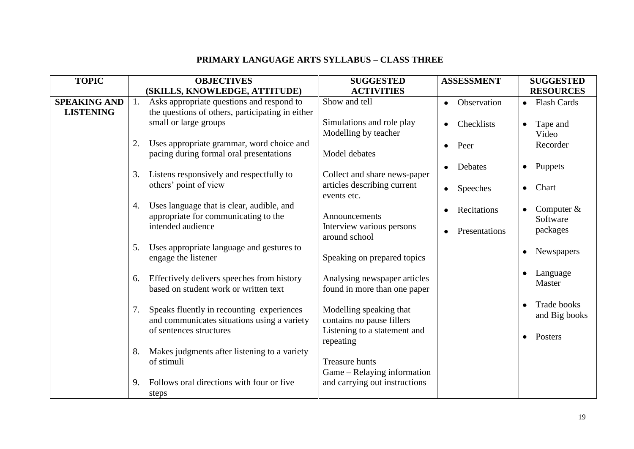# **PRIMARY LANGUAGE ARTS SYLLABUS – CLASS THREE**

| <b>TOPIC</b>                            | <b>OBJECTIVES</b>                                                                                   | <b>SUGGESTED</b>                                             | <b>ASSESSMENT</b> | <b>SUGGESTED</b>                    |
|-----------------------------------------|-----------------------------------------------------------------------------------------------------|--------------------------------------------------------------|-------------------|-------------------------------------|
|                                         | (SKILLS, KNOWLEDGE, ATTITUDE)                                                                       | <b>ACTIVITIES</b>                                            |                   | <b>RESOURCES</b>                    |
| <b>SPEAKING AND</b><br><b>LISTENING</b> | Asks appropriate questions and respond to<br>1.<br>the questions of others, participating in either | Show and tell                                                | Observation       | <b>Flash Cards</b><br>$\bullet$     |
|                                         | small or large groups                                                                               | Simulations and role play<br>Modelling by teacher            | Checklists        | Tape and<br>Video                   |
|                                         | Uses appropriate grammar, word choice and<br>2.<br>pacing during formal oral presentations          | Model debates                                                | Peer<br>$\bullet$ | Recorder                            |
|                                         | Listens responsively and respectfully to<br>3.                                                      | Collect and share news-paper                                 | Debates           | Puppets<br>$\bullet$                |
|                                         | others' point of view                                                                               | articles describing current<br>events etc.                   | Speeches<br>٠     | Chart<br>$\bullet$                  |
|                                         | Uses language that is clear, audible, and<br>4.<br>appropriate for communicating to the             | Announcements                                                | Recitations       | Computer $&$<br>Software            |
|                                         | intended audience                                                                                   | Interview various persons<br>around school                   | Presentations     | packages                            |
|                                         | 5.<br>Uses appropriate language and gestures to<br>engage the listener                              | Speaking on prepared topics                                  |                   | Newspapers                          |
|                                         | Effectively delivers speeches from history<br>6.<br>based on student work or written text           | Analysing newspaper articles<br>found in more than one paper |                   | Language<br>Master                  |
|                                         | Speaks fluently in recounting experiences<br>7.<br>and communicates situations using a variety      | Modelling speaking that<br>contains no pause fillers         |                   | <b>Trade books</b><br>and Big books |
|                                         | of sentences structures                                                                             | Listening to a statement and<br>repeating                    |                   | Posters<br>$\bullet$                |
|                                         | Makes judgments after listening to a variety<br>8.<br>of stimuli                                    | <b>Treasure hunts</b><br>Game – Relaying information         |                   |                                     |
|                                         | Follows oral directions with four or five<br>9.<br>steps                                            | and carrying out instructions                                |                   |                                     |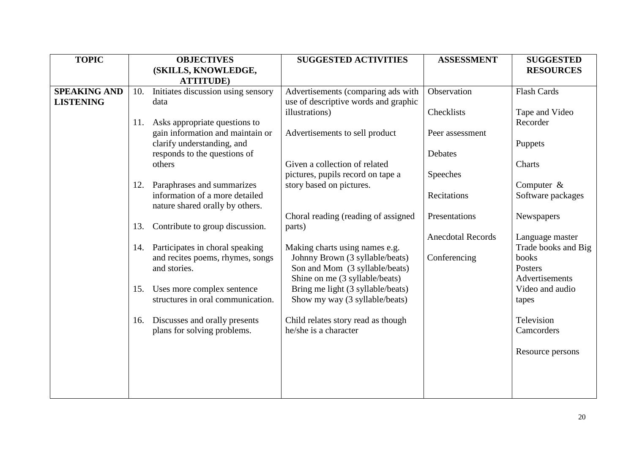| <b>TOPIC</b>        |     | <b>OBJECTIVES</b>                                | <b>SUGGESTED ACTIVITIES</b>                                       | <b>ASSESSMENT</b>        | <b>SUGGESTED</b>             |
|---------------------|-----|--------------------------------------------------|-------------------------------------------------------------------|--------------------------|------------------------------|
|                     |     | (SKILLS, KNOWLEDGE,                              |                                                                   |                          | <b>RESOURCES</b>             |
|                     |     | <b>ATTITUDE</b> )                                |                                                                   |                          |                              |
| <b>SPEAKING AND</b> | 10. | Initiates discussion using sensory               | Advertisements (comparing ads with                                | Observation              | <b>Flash Cards</b>           |
| <b>LISTENING</b>    |     | data                                             | use of descriptive words and graphic                              |                          |                              |
|                     |     |                                                  | illustrations)                                                    | Checklists               | Tape and Video               |
|                     | 11. | Asks appropriate questions to                    |                                                                   |                          | Recorder                     |
|                     |     | gain information and maintain or                 | Advertisements to sell product                                    | Peer assessment          |                              |
|                     |     | clarify understanding, and                       |                                                                   |                          | Puppets                      |
|                     |     | responds to the questions of                     |                                                                   | Debates                  |                              |
|                     |     | others                                           | Given a collection of related                                     |                          | Charts                       |
|                     |     |                                                  | pictures, pupils record on tape a                                 | Speeches                 |                              |
|                     | 12. | Paraphrases and summarizes                       | story based on pictures.                                          |                          | Computer $\&$                |
|                     |     | information of a more detailed                   |                                                                   | Recitations              | Software packages            |
|                     |     | nature shared orally by others.                  |                                                                   |                          |                              |
|                     |     |                                                  | Choral reading (reading of assigned                               | Presentations            | Newspapers                   |
|                     | 13. | Contribute to group discussion.                  | parts)                                                            |                          |                              |
|                     |     |                                                  |                                                                   | <b>Anecdotal Records</b> | Language master              |
|                     |     | 14. Participates in choral speaking              | Making charts using names e.g.                                    |                          | Trade books and Big<br>books |
|                     |     | and recites poems, rhymes, songs<br>and stories. | Johnny Brown (3 syllable/beats)<br>Son and Mom (3 syllable/beats) | Conferencing             | Posters                      |
|                     |     |                                                  | Shine on me (3 syllable/beats)                                    |                          | Advertisements               |
|                     | 15. | Uses more complex sentence                       | Bring me light (3 syllable/beats)                                 |                          | Video and audio              |
|                     |     | structures in oral communication.                | Show my way (3 syllable/beats)                                    |                          | tapes                        |
|                     |     |                                                  |                                                                   |                          |                              |
|                     | 16. | Discusses and orally presents                    | Child relates story read as though                                |                          | Television                   |
|                     |     | plans for solving problems.                      | he/she is a character                                             |                          | Camcorders                   |
|                     |     |                                                  |                                                                   |                          |                              |
|                     |     |                                                  |                                                                   |                          | Resource persons             |
|                     |     |                                                  |                                                                   |                          |                              |
|                     |     |                                                  |                                                                   |                          |                              |
|                     |     |                                                  |                                                                   |                          |                              |
|                     |     |                                                  |                                                                   |                          |                              |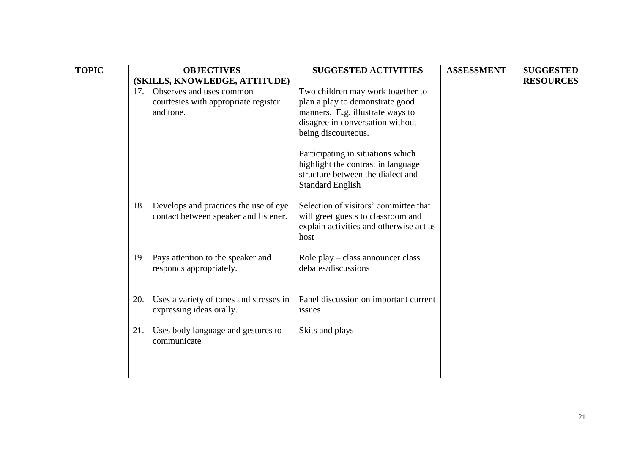| <b>TOPIC</b> |     | <b>OBJECTIVES</b>                       | <b>SUGGESTED ACTIVITIES</b>                     | <b>ASSESSMENT</b> | <b>SUGGESTED</b> |
|--------------|-----|-----------------------------------------|-------------------------------------------------|-------------------|------------------|
|              |     | (SKILLS, KNOWLEDGE, ATTITUDE)           |                                                 |                   | <b>RESOURCES</b> |
|              | 17. | Observes and uses common                | Two children may work together to               |                   |                  |
|              |     | courtesies with appropriate register    | plan a play to demonstrate good                 |                   |                  |
|              |     | and tone.                               | manners. E.g. illustrate ways to                |                   |                  |
|              |     |                                         | disagree in conversation without                |                   |                  |
|              |     |                                         | being discourteous.                             |                   |                  |
|              |     |                                         | Participating in situations which               |                   |                  |
|              |     |                                         | highlight the contrast in language              |                   |                  |
|              |     |                                         | structure between the dialect and               |                   |                  |
|              |     |                                         | <b>Standard English</b>                         |                   |                  |
|              |     |                                         |                                                 |                   |                  |
|              | 18. | Develops and practices the use of eye   | Selection of visitors' committee that           |                   |                  |
|              |     | contact between speaker and listener.   | will greet guests to classroom and              |                   |                  |
|              |     |                                         | explain activities and otherwise act as<br>host |                   |                  |
|              |     |                                         |                                                 |                   |                  |
|              |     | 19. Pays attention to the speaker and   | Role play - class announcer class               |                   |                  |
|              |     | responds appropriately.                 | debates/discussions                             |                   |                  |
|              |     |                                         |                                                 |                   |                  |
|              |     |                                         |                                                 |                   |                  |
|              | 20. | Uses a variety of tones and stresses in | Panel discussion on important current           |                   |                  |
|              |     | expressing ideas orally.                | issues                                          |                   |                  |
|              | 21. | Uses body language and gestures to      | Skits and plays                                 |                   |                  |
|              |     | communicate                             |                                                 |                   |                  |
|              |     |                                         |                                                 |                   |                  |
|              |     |                                         |                                                 |                   |                  |
|              |     |                                         |                                                 |                   |                  |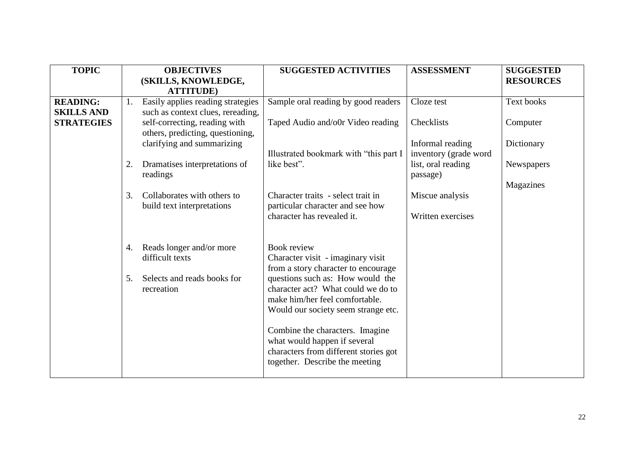| <b>TOPIC</b>                         |    | <b>OBJECTIVES</b><br>(SKILLS, KNOWLEDGE,<br><b>ATTITUDE</b> )          | <b>SUGGESTED ACTIVITIES</b>                                                                                                                                                            | <b>ASSESSMENT</b>                         | <b>SUGGESTED</b><br><b>RESOURCES</b> |
|--------------------------------------|----|------------------------------------------------------------------------|----------------------------------------------------------------------------------------------------------------------------------------------------------------------------------------|-------------------------------------------|--------------------------------------|
| <b>READING:</b><br><b>SKILLS AND</b> | 1. | Easily applies reading strategies<br>such as context clues, rereading, | Sample oral reading by good readers                                                                                                                                                    | Cloze test                                | Text books                           |
| <b>STRATEGIES</b>                    |    | self-correcting, reading with<br>others, predicting, questioning,      | Taped Audio and/o0r Video reading                                                                                                                                                      | Checklists                                | Computer                             |
|                                      |    | clarifying and summarizing                                             | Illustrated bookmark with "this part I                                                                                                                                                 | Informal reading<br>inventory (grade word | Dictionary                           |
|                                      | 2. | Dramatises interpretations of<br>readings                              | like best".                                                                                                                                                                            | list, oral reading<br>passage)            | Newspapers                           |
|                                      | 3. | Collaborates with others to                                            | Character traits - select trait in                                                                                                                                                     | Miscue analysis                           | Magazines                            |
|                                      |    | build text interpretations                                             | particular character and see how<br>character has revealed it.                                                                                                                         | Written exercises                         |                                      |
|                                      |    |                                                                        |                                                                                                                                                                                        |                                           |                                      |
|                                      | 4. | Reads longer and/or more<br>difficult texts                            | <b>Book review</b><br>Character visit - imaginary visit                                                                                                                                |                                           |                                      |
|                                      | 5. | Selects and reads books for<br>recreation                              | from a story character to encourage<br>questions such as: How would the<br>character act? What could we do to<br>make him/her feel comfortable.<br>Would our society seem strange etc. |                                           |                                      |
|                                      |    |                                                                        | Combine the characters. Imagine<br>what would happen if several<br>characters from different stories got<br>together. Describe the meeting                                             |                                           |                                      |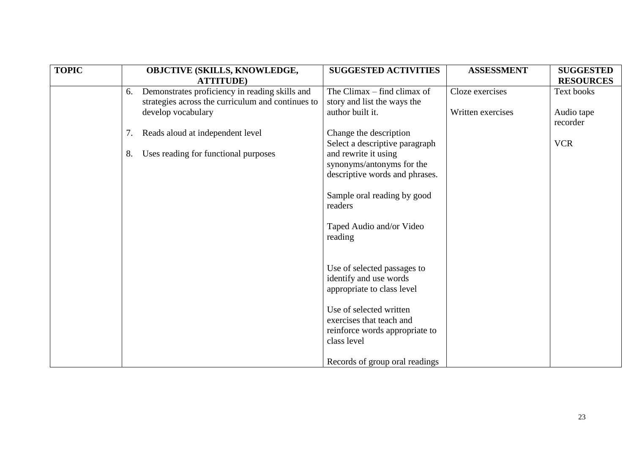| <b>TOPIC</b> |    | OBJCTIVE (SKILLS, KNOWLEDGE,<br><b>ATTITUDE</b> )                                                   | <b>SUGGESTED ACTIVITIES</b>                                                                          | <b>ASSESSMENT</b> | <b>SUGGESTED</b><br><b>RESOURCES</b> |
|--------------|----|-----------------------------------------------------------------------------------------------------|------------------------------------------------------------------------------------------------------|-------------------|--------------------------------------|
|              | 6. | Demonstrates proficiency in reading skills and<br>strategies across the curriculum and continues to | The Climax $-$ find climax of<br>story and list the ways the                                         | Cloze exercises   | Text books                           |
|              |    | develop vocabulary                                                                                  | author built it.                                                                                     | Written exercises | Audio tape<br>recorder               |
|              | 7. | Reads aloud at independent level                                                                    | Change the description<br>Select a descriptive paragraph                                             |                   | <b>VCR</b>                           |
|              | 8. | Uses reading for functional purposes                                                                | and rewrite it using<br>synonyms/antonyms for the<br>descriptive words and phrases.                  |                   |                                      |
|              |    |                                                                                                     | Sample oral reading by good<br>readers                                                               |                   |                                      |
|              |    |                                                                                                     | Taped Audio and/or Video<br>reading                                                                  |                   |                                      |
|              |    |                                                                                                     | Use of selected passages to<br>identify and use words<br>appropriate to class level                  |                   |                                      |
|              |    |                                                                                                     | Use of selected written<br>exercises that teach and<br>reinforce words appropriate to<br>class level |                   |                                      |
|              |    |                                                                                                     | Records of group oral readings                                                                       |                   |                                      |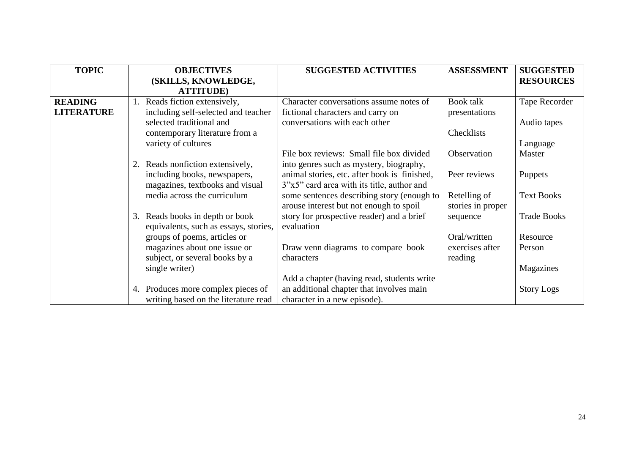| <b>TOPIC</b>      | <b>OBJECTIVES</b>                     | <b>SUGGESTED ACTIVITIES</b>                  | <b>ASSESSMENT</b> | <b>SUGGESTED</b>   |
|-------------------|---------------------------------------|----------------------------------------------|-------------------|--------------------|
|                   | (SKILLS, KNOWLEDGE,                   |                                              |                   | <b>RESOURCES</b>   |
|                   | <b>ATTITUDE</b> )                     |                                              |                   |                    |
| <b>READING</b>    | Reads fiction extensively,            | Character conversations assume notes of      | Book talk         | Tape Recorder      |
| <b>LITERATURE</b> | including self-selected and teacher   | fictional characters and carry on            | presentations     |                    |
|                   | selected traditional and              | conversations with each other                |                   | Audio tapes        |
|                   | contemporary literature from a        |                                              | Checklists        |                    |
|                   | variety of cultures                   |                                              |                   | Language           |
|                   |                                       | File box reviews: Small file box divided     | Observation       | Master             |
|                   | Reads nonfiction extensively,<br>2.   | into genres such as mystery, biography,      |                   |                    |
|                   | including books, newspapers,          | animal stories, etc. after book is finished, | Peer reviews      | <b>Puppets</b>     |
|                   | magazines, textbooks and visual       | 3"x5" card area with its title, author and   |                   |                    |
|                   | media across the curriculum           | some sentences describing story (enough to   | Retelling of      | <b>Text Books</b>  |
|                   |                                       | arouse interest but not enough to spoil      | stories in proper |                    |
|                   | 3. Reads books in depth or book       | story for prospective reader) and a brief    | sequence          | <b>Trade Books</b> |
|                   | equivalents, such as essays, stories, | evaluation                                   |                   |                    |
|                   | groups of poems, articles or          |                                              | Oral/written      | Resource           |
|                   | magazines about one issue or          | Draw venn diagrams to compare book           | exercises after   | Person             |
|                   | subject, or several books by a        | characters                                   | reading           |                    |
|                   | single writer)                        |                                              |                   | Magazines          |
|                   |                                       | Add a chapter (having read, students write   |                   |                    |
|                   | 4. Produces more complex pieces of    | an additional chapter that involves main     |                   | <b>Story Logs</b>  |
|                   | writing based on the literature read  | character in a new episode).                 |                   |                    |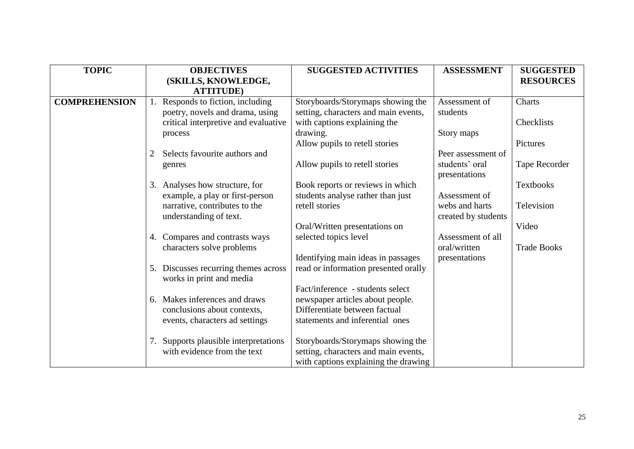| <b>TOPIC</b>         | <b>OBJECTIVES</b>                                                | <b>SUGGESTED ACTIVITIES</b>          | <b>ASSESSMENT</b>   | <b>SUGGESTED</b>   |
|----------------------|------------------------------------------------------------------|--------------------------------------|---------------------|--------------------|
|                      | (SKILLS, KNOWLEDGE,<br><b>ATTITUDE</b> )                         |                                      |                     | <b>RESOURCES</b>   |
| <b>COMPREHENSION</b> | Responds to fiction, including                                   | Storyboards/Storymaps showing the    | Assessment of       | Charts             |
|                      | poetry, novels and drama, using                                  | setting, characters and main events, | students            |                    |
|                      | critical interpretive and evaluative                             | with captions explaining the         |                     | Checklists         |
|                      | process                                                          | drawing.                             | Story maps          | Pictures           |
|                      | Selects favourite authors and<br>2                               | Allow pupils to retell stories       | Peer assessment of  |                    |
|                      | genres                                                           | Allow pupils to retell stories       | students' oral      | Tape Recorder      |
|                      |                                                                  |                                      | presentations       |                    |
|                      | 3. Analyses how structure, for                                   | Book reports or reviews in which     |                     | <b>Textbooks</b>   |
|                      | example, a play or first-person                                  | students analyse rather than just    | Assessment of       |                    |
|                      | narrative, contributes to the                                    | retell stories                       | webs and harts      | Television         |
|                      | understanding of text.                                           |                                      | created by students |                    |
|                      |                                                                  | Oral/Written presentations on        |                     | Video              |
|                      | Compares and contrasts ways<br>4.                                | selected topics level                | Assessment of all   |                    |
|                      | characters solve problems                                        |                                      | oral/written        | <b>Trade Books</b> |
|                      |                                                                  | Identifying main ideas in passages   | presentations       |                    |
|                      | 5. Discusses recurring themes across<br>works in print and media | read or information presented orally |                     |                    |
|                      |                                                                  | Fact/inference - students select     |                     |                    |
|                      | Makes inferences and draws<br>6.                                 | newspaper articles about people.     |                     |                    |
|                      | conclusions about contexts,                                      | Differentiate between factual        |                     |                    |
|                      | events, characters ad settings                                   | statements and inferential ones      |                     |                    |
|                      |                                                                  |                                      |                     |                    |
|                      | Supports plausible interpretations<br>7.                         | Storyboards/Storymaps showing the    |                     |                    |
|                      | with evidence from the text                                      | setting, characters and main events, |                     |                    |
|                      |                                                                  | with captions explaining the drawing |                     |                    |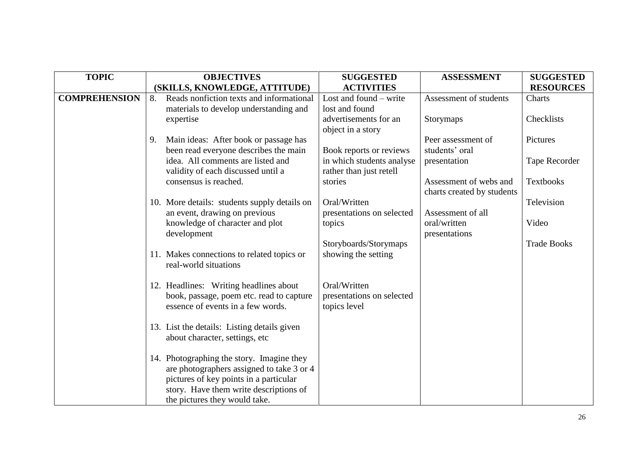| <b>TOPIC</b>         |    | <b>OBJECTIVES</b>                                                | <b>SUGGESTED</b>                    | <b>ASSESSMENT</b>          | <b>SUGGESTED</b>   |
|----------------------|----|------------------------------------------------------------------|-------------------------------------|----------------------------|--------------------|
|                      |    | (SKILLS, KNOWLEDGE, ATTITUDE)                                    | <b>ACTIVITIES</b>                   |                            | <b>RESOURCES</b>   |
| <b>COMPREHENSION</b> | 8. | Reads nonfiction texts and informational                         | Lost and found $-$ write            | Assessment of students     | Charts             |
|                      |    | materials to develop understanding and                           | lost and found                      |                            |                    |
|                      |    | expertise                                                        | advertisements for an               | Storymaps                  | Checklists         |
|                      |    |                                                                  | object in a story                   |                            |                    |
|                      | 9. | Main ideas: After book or passage has                            |                                     | Peer assessment of         | Pictures           |
|                      |    | been read everyone describes the main                            | Book reports or reviews             | students' oral             |                    |
|                      |    | idea. All comments are listed and                                | in which students analyse           | presentation               | Tape Recorder      |
|                      |    | validity of each discussed until a                               | rather than just retell             |                            |                    |
|                      |    | consensus is reached.                                            | stories                             | Assessment of webs and     | <b>Textbooks</b>   |
|                      |    |                                                                  |                                     | charts created by students |                    |
|                      |    | 10. More details: students supply details on                     | Oral/Written                        | Assessment of all          | Television         |
|                      |    | an event, drawing on previous<br>knowledge of character and plot | presentations on selected<br>topics | oral/written               | Video              |
|                      |    | development                                                      |                                     | presentations              |                    |
|                      |    |                                                                  | Storyboards/Storymaps               |                            | <b>Trade Books</b> |
|                      |    | 11. Makes connections to related topics or                       | showing the setting                 |                            |                    |
|                      |    | real-world situations                                            |                                     |                            |                    |
|                      |    |                                                                  |                                     |                            |                    |
|                      |    | 12. Headlines: Writing headlines about                           | Oral/Written                        |                            |                    |
|                      |    | book, passage, poem etc. read to capture                         | presentations on selected           |                            |                    |
|                      |    | essence of events in a few words.                                | topics level                        |                            |                    |
|                      |    |                                                                  |                                     |                            |                    |
|                      |    | 13. List the details: Listing details given                      |                                     |                            |                    |
|                      |    | about character, settings, etc                                   |                                     |                            |                    |
|                      |    |                                                                  |                                     |                            |                    |
|                      |    | 14. Photographing the story. Imagine they                        |                                     |                            |                    |
|                      |    | are photographers assigned to take 3 or 4                        |                                     |                            |                    |
|                      |    | pictures of key points in a particular                           |                                     |                            |                    |
|                      |    | story. Have them write descriptions of                           |                                     |                            |                    |
|                      |    | the pictures they would take.                                    |                                     |                            |                    |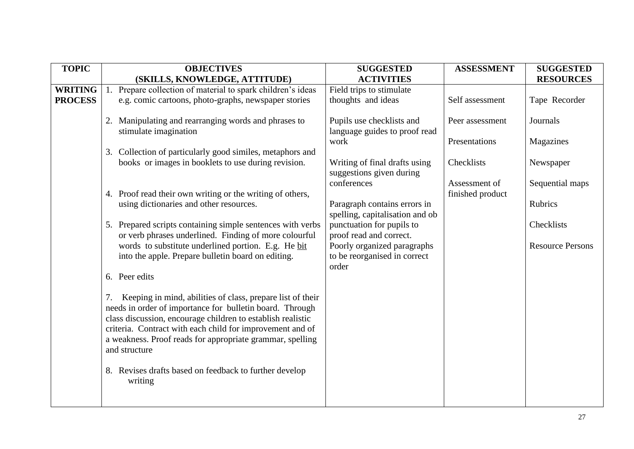| <b>TOPIC</b>   |    | <b>OBJECTIVES</b>                                                                                                   | <b>SUGGESTED</b>                                     | <b>ASSESSMENT</b> | <b>SUGGESTED</b>        |
|----------------|----|---------------------------------------------------------------------------------------------------------------------|------------------------------------------------------|-------------------|-------------------------|
|                |    | (SKILLS, KNOWLEDGE, ATTITUDE)                                                                                       | <b>ACTIVITIES</b>                                    |                   | <b>RESOURCES</b>        |
| <b>WRITING</b> |    | Prepare collection of material to spark children's ideas                                                            | Field trips to stimulate                             |                   |                         |
| <b>PROCESS</b> |    | e.g. comic cartoons, photo-graphs, newspaper stories                                                                | thoughts and ideas                                   | Self assessment   | Tape Recorder           |
|                |    |                                                                                                                     |                                                      |                   |                         |
|                |    | 2. Manipulating and rearranging words and phrases to                                                                | Pupils use checklists and                            | Peer assessment   | Journals                |
|                |    | stimulate imagination                                                                                               | language guides to proof read                        |                   |                         |
|                |    |                                                                                                                     | work                                                 | Presentations     | Magazines               |
|                |    | 3. Collection of particularly good similes, metaphors and                                                           |                                                      |                   |                         |
|                |    | books or images in booklets to use during revision.                                                                 | Writing of final drafts using                        | Checklists        | Newspaper               |
|                |    |                                                                                                                     | suggestions given during                             |                   |                         |
|                |    |                                                                                                                     | conferences                                          | Assessment of     | Sequential maps         |
|                |    | 4. Proof read their own writing or the writing of others,                                                           |                                                      | finished product  |                         |
|                |    | using dictionaries and other resources.                                                                             | Paragraph contains errors in                         |                   | Rubrics                 |
|                |    |                                                                                                                     | spelling, capitalisation and ob                      |                   | Checklists              |
|                |    | 5. Prepared scripts containing simple sentences with verbs<br>or verb phrases underlined. Finding of more colourful | punctuation for pupils to<br>proof read and correct. |                   |                         |
|                |    | words to substitute underlined portion. E.g. He bit                                                                 | Poorly organized paragraphs                          |                   | <b>Resource Persons</b> |
|                |    | into the apple. Prepare bulletin board on editing.                                                                  | to be reorganised in correct                         |                   |                         |
|                |    |                                                                                                                     | order                                                |                   |                         |
|                |    | 6. Peer edits                                                                                                       |                                                      |                   |                         |
|                |    |                                                                                                                     |                                                      |                   |                         |
|                | 7. | Keeping in mind, abilities of class, prepare list of their                                                          |                                                      |                   |                         |
|                |    | needs in order of importance for bulletin board. Through                                                            |                                                      |                   |                         |
|                |    | class discussion, encourage children to establish realistic                                                         |                                                      |                   |                         |
|                |    | criteria. Contract with each child for improvement and of                                                           |                                                      |                   |                         |
|                |    | a weakness. Proof reads for appropriate grammar, spelling                                                           |                                                      |                   |                         |
|                |    | and structure                                                                                                       |                                                      |                   |                         |
|                |    |                                                                                                                     |                                                      |                   |                         |
|                |    | 8. Revises drafts based on feedback to further develop                                                              |                                                      |                   |                         |
|                |    | writing                                                                                                             |                                                      |                   |                         |
|                |    |                                                                                                                     |                                                      |                   |                         |
|                |    |                                                                                                                     |                                                      |                   |                         |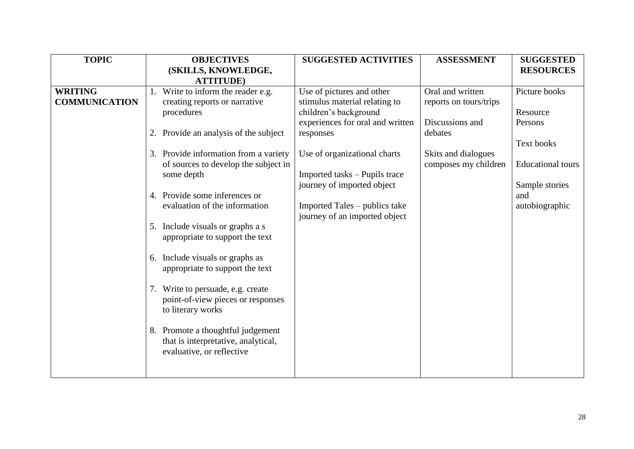| <b>TOPIC</b>         | <b>OBJECTIVES</b>                     | <b>SUGGESTED ACTIVITIES</b>      | <b>ASSESSMENT</b>      | <b>SUGGESTED</b>         |
|----------------------|---------------------------------------|----------------------------------|------------------------|--------------------------|
|                      | (SKILLS, KNOWLEDGE,                   |                                  |                        | <b>RESOURCES</b>         |
|                      | <b>ATTITUDE</b> )                     |                                  |                        |                          |
| <b>WRITING</b>       | 1. Write to inform the reader e.g.    | Use of pictures and other        | Oral and written       | Picture books            |
| <b>COMMUNICATION</b> | creating reports or narrative         | stimulus material relating to    | reports on tours/trips |                          |
|                      | procedures                            | children's background            |                        | Resource                 |
|                      |                                       | experiences for oral and written | Discussions and        | Persons                  |
|                      | 2. Provide an analysis of the subject | responses                        | debates                |                          |
|                      |                                       |                                  |                        | Text books               |
|                      | 3. Provide information from a variety | Use of organizational charts     | Skits and dialogues    |                          |
|                      | of sources to develop the subject in  |                                  | composes my children   | <b>Educational</b> tours |
|                      | some depth                            | Imported tasks – Pupils trace    |                        |                          |
|                      |                                       | journey of imported object       |                        | Sample stories           |
|                      | 4. Provide some inferences or         |                                  |                        | and                      |
|                      | evaluation of the information         | Imported Tales – publics take    |                        | autobiographic           |
|                      |                                       | journey of an imported object    |                        |                          |
|                      | 5. Include visuals or graphs a s      |                                  |                        |                          |
|                      | appropriate to support the text       |                                  |                        |                          |
|                      |                                       |                                  |                        |                          |
|                      | Include visuals or graphs as<br>6.    |                                  |                        |                          |
|                      | appropriate to support the text       |                                  |                        |                          |
|                      |                                       |                                  |                        |                          |
|                      | 7. Write to persuade, e.g. create     |                                  |                        |                          |
|                      | point-of-view pieces or responses     |                                  |                        |                          |
|                      | to literary works                     |                                  |                        |                          |
|                      |                                       |                                  |                        |                          |
|                      | 8. Promote a thoughtful judgement     |                                  |                        |                          |
|                      | that is interpretative, analytical,   |                                  |                        |                          |
|                      | evaluative, or reflective             |                                  |                        |                          |
|                      |                                       |                                  |                        |                          |
|                      |                                       |                                  |                        |                          |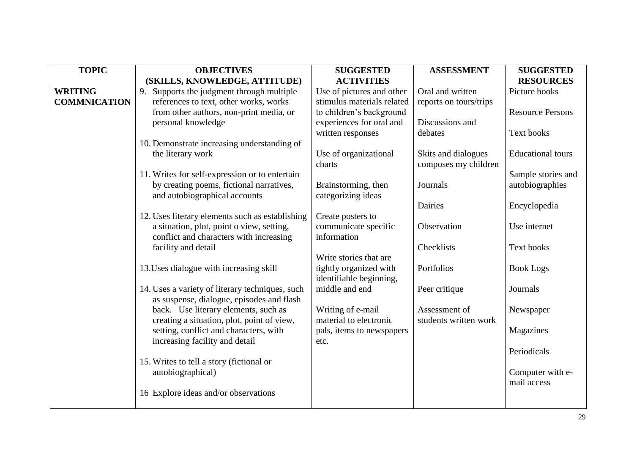| <b>TOPIC</b>        | <b>OBJECTIVES</b>                               | <b>SUGGESTED</b>           | <b>ASSESSMENT</b>      | <b>SUGGESTED</b>         |
|---------------------|-------------------------------------------------|----------------------------|------------------------|--------------------------|
|                     | (SKILLS, KNOWLEDGE, ATTITUDE)                   | <b>ACTIVITIES</b>          |                        | <b>RESOURCES</b>         |
| <b>WRITING</b>      | 9.<br>Supports the judgment through multiple    | Use of pictures and other  | Oral and written       | Picture books            |
| <b>COMMNICATION</b> | references to text, other works, works          | stimulus materials related | reports on tours/trips |                          |
|                     | from other authors, non-print media, or         | to children's background   |                        | <b>Resource Persons</b>  |
|                     | personal knowledge                              | experiences for oral and   | Discussions and        |                          |
|                     |                                                 | written responses          | debates                | Text books               |
|                     | 10. Demonstrate increasing understanding of     |                            |                        |                          |
|                     | the literary work                               | Use of organizational      | Skits and dialogues    | <b>Educational</b> tours |
|                     |                                                 | charts                     | composes my children   |                          |
|                     | 11. Writes for self-expression or to entertain  |                            |                        | Sample stories and       |
|                     | by creating poems, fictional narratives,        | Brainstorming, then        | Journals               | autobiographies          |
|                     | and autobiographical accounts                   | categorizing ideas         |                        |                          |
|                     |                                                 |                            | Dairies                | Encyclopedia             |
|                     | 12. Uses literary elements such as establishing | Create posters to          |                        |                          |
|                     | a situation, plot, point o view, setting,       | communicate specific       | Observation            | Use internet             |
|                     | conflict and characters with increasing         | information                |                        |                          |
|                     | facility and detail                             | Write stories that are     | Checklists             | Text books               |
|                     | 13. Uses dialogue with increasing skill         | tightly organized with     | Portfolios             | <b>Book Logs</b>         |
|                     |                                                 | identifiable beginning,    |                        |                          |
|                     | 14. Uses a variety of literary techniques, such | middle and end             | Peer critique          | Journals                 |
|                     | as suspense, dialogue, episodes and flash       |                            |                        |                          |
|                     | back. Use literary elements, such as            | Writing of e-mail          | Assessment of          | Newspaper                |
|                     | creating a situation, plot, point of view,      | material to electronic     | students written work  |                          |
|                     | setting, conflict and characters, with          | pals, items to newspapers  |                        | Magazines                |
|                     | increasing facility and detail                  | etc.                       |                        |                          |
|                     |                                                 |                            |                        | Periodicals              |
|                     | 15. Writes to tell a story (fictional or        |                            |                        |                          |
|                     | autobiographical)                               |                            |                        | Computer with e-         |
|                     |                                                 |                            |                        | mail access              |
|                     | 16 Explore ideas and/or observations            |                            |                        |                          |
|                     |                                                 |                            |                        |                          |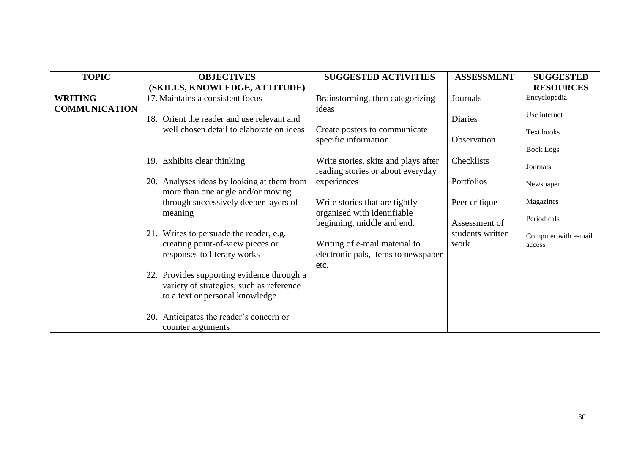| <b>TOPIC</b>         | <b>OBJECTIVES</b>                                                               | <b>SUGGESTED ACTIVITIES</b>                                               | <b>ASSESSMENT</b> | <b>SUGGESTED</b>               |
|----------------------|---------------------------------------------------------------------------------|---------------------------------------------------------------------------|-------------------|--------------------------------|
|                      | (SKILLS, KNOWLEDGE, ATTITUDE)                                                   |                                                                           |                   | <b>RESOURCES</b>               |
| <b>WRITING</b>       | 17. Maintains a consistent focus                                                | Brainstorming, then categorizing                                          | Journals          | Encyclopedia                   |
| <b>COMMUNICATION</b> |                                                                                 | ideas                                                                     |                   |                                |
|                      | 18. Orient the reader and use relevant and                                      |                                                                           | <b>Diaries</b>    | Use internet                   |
|                      | well chosen detail to elaborate on ideas                                        | Create posters to communicate                                             |                   | Text books                     |
|                      |                                                                                 | specific information                                                      | Observation       |                                |
|                      |                                                                                 |                                                                           |                   | <b>Book Logs</b>               |
|                      | 19. Exhibits clear thinking                                                     | Write stories, skits and plays after<br>reading stories or about everyday | Checklists        | Journals                       |
|                      | 20. Analyses ideas by looking at them from<br>more than one angle and/or moving | experiences                                                               | Portfolios        | Newspaper                      |
|                      | through successively deeper layers of                                           | Write stories that are tightly                                            | Peer critique     | Magazines                      |
|                      | meaning                                                                         | organised with identifiable<br>beginning, middle and end.                 | Assessment of     | Periodicals                    |
|                      | 21. Writes to persuade the reader, e.g.                                         |                                                                           | students written  |                                |
|                      | creating point-of-view pieces or                                                | Writing of e-mail material to                                             | work              | Computer with e-mail<br>access |
|                      | responses to literary works                                                     | electronic pals, items to newspaper                                       |                   |                                |
|                      |                                                                                 | etc.                                                                      |                   |                                |
|                      | 22. Provides supporting evidence through a                                      |                                                                           |                   |                                |
|                      | variety of strategies, such as reference                                        |                                                                           |                   |                                |
|                      | to a text or personal knowledge                                                 |                                                                           |                   |                                |
|                      | 20. Anticipates the reader's concern or<br>counter arguments                    |                                                                           |                   |                                |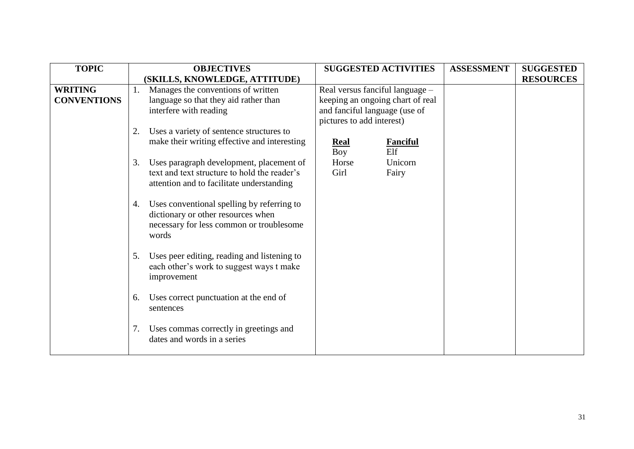| <b>TOPIC</b>       |    | <b>OBJECTIVES</b>                            |                           | <b>SUGGESTED ACTIVITIES</b>      | <b>ASSESSMENT</b> | <b>SUGGESTED</b> |
|--------------------|----|----------------------------------------------|---------------------------|----------------------------------|-------------------|------------------|
|                    |    | (SKILLS, KNOWLEDGE, ATTITUDE)                |                           |                                  |                   | <b>RESOURCES</b> |
| <b>WRITING</b>     | 1. | Manages the conventions of written           |                           | Real versus fanciful language -  |                   |                  |
| <b>CONVENTIONS</b> |    | language so that they aid rather than        |                           | keeping an ongoing chart of real |                   |                  |
|                    |    | interfere with reading                       |                           | and fanciful language (use of    |                   |                  |
|                    |    |                                              | pictures to add interest) |                                  |                   |                  |
|                    | 2. | Uses a variety of sentence structures to     |                           |                                  |                   |                  |
|                    |    | make their writing effective and interesting | <b>Real</b>               | <b>Fanciful</b>                  |                   |                  |
|                    |    |                                              | Boy                       | Elf                              |                   |                  |
|                    | 3. | Uses paragraph development, placement of     | Horse                     | Unicorn                          |                   |                  |
|                    |    | text and text structure to hold the reader's | Girl                      | Fairy                            |                   |                  |
|                    |    | attention and to facilitate understanding    |                           |                                  |                   |                  |
|                    |    |                                              |                           |                                  |                   |                  |
|                    | 4. | Uses conventional spelling by referring to   |                           |                                  |                   |                  |
|                    |    | dictionary or other resources when           |                           |                                  |                   |                  |
|                    |    | necessary for less common or troublesome     |                           |                                  |                   |                  |
|                    |    | words                                        |                           |                                  |                   |                  |
|                    |    |                                              |                           |                                  |                   |                  |
|                    | 5. | Uses peer editing, reading and listening to  |                           |                                  |                   |                  |
|                    |    | each other's work to suggest ways t make     |                           |                                  |                   |                  |
|                    |    | improvement                                  |                           |                                  |                   |                  |
|                    |    |                                              |                           |                                  |                   |                  |
|                    | 6. | Uses correct punctuation at the end of       |                           |                                  |                   |                  |
|                    |    | sentences                                    |                           |                                  |                   |                  |
|                    |    |                                              |                           |                                  |                   |                  |
|                    | 7. | Uses commas correctly in greetings and       |                           |                                  |                   |                  |
|                    |    | dates and words in a series                  |                           |                                  |                   |                  |
|                    |    |                                              |                           |                                  |                   |                  |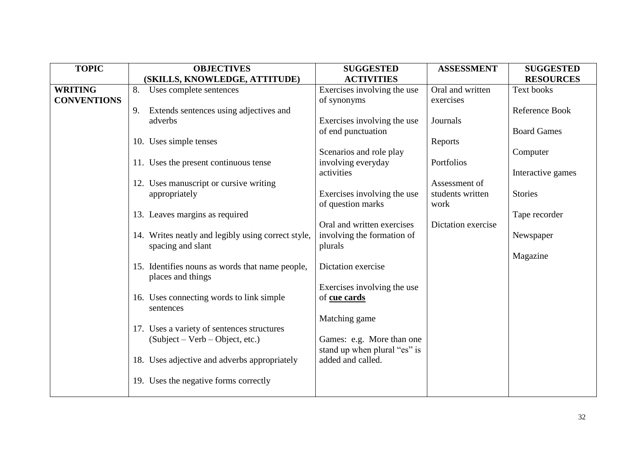| <b>TOPIC</b>       | <b>OBJECTIVES</b>                                  | <b>SUGGESTED</b>                                  | <b>ASSESSMENT</b>  | <b>SUGGESTED</b>   |
|--------------------|----------------------------------------------------|---------------------------------------------------|--------------------|--------------------|
|                    | (SKILLS, KNOWLEDGE, ATTITUDE)                      | <b>ACTIVITIES</b>                                 |                    | <b>RESOURCES</b>   |
| <b>WRITING</b>     | 8.<br>Uses complete sentences                      | Exercises involving the use                       | Oral and written   | Text books         |
| <b>CONVENTIONS</b> |                                                    | of synonyms                                       | exercises          |                    |
|                    | Extends sentences using adjectives and<br>9.       |                                                   |                    | Reference Book     |
|                    | adverbs                                            | Exercises involving the use                       | Journals           |                    |
|                    |                                                    | of end punctuation                                |                    | <b>Board Games</b> |
|                    | 10. Uses simple tenses                             |                                                   | Reports            |                    |
|                    |                                                    | Scenarios and role play                           |                    | Computer           |
|                    | 11. Uses the present continuous tense              | involving everyday                                | Portfolios         |                    |
|                    |                                                    | activities                                        |                    | Interactive games  |
|                    | 12. Uses manuscript or cursive writing             |                                                   | Assessment of      |                    |
|                    | appropriately                                      | Exercises involving the use                       | students written   | <b>Stories</b>     |
|                    |                                                    | of question marks                                 | work               |                    |
|                    | 13. Leaves margins as required                     |                                                   |                    | Tape recorder      |
|                    |                                                    | Oral and written exercises                        | Dictation exercise |                    |
|                    | 14. Writes neatly and legibly using correct style, | involving the formation of                        |                    | Newspaper          |
|                    | spacing and slant                                  | plurals                                           |                    |                    |
|                    |                                                    |                                                   |                    | Magazine           |
|                    | 15. Identifies nouns as words that name people,    | Dictation exercise                                |                    |                    |
|                    | places and things                                  |                                                   |                    |                    |
|                    |                                                    | Exercises involving the use                       |                    |                    |
|                    | 16. Uses connecting words to link simple           | of cue cards                                      |                    |                    |
|                    | sentences                                          |                                                   |                    |                    |
|                    |                                                    | Matching game                                     |                    |                    |
|                    | 17. Uses a variety of sentences structures         |                                                   |                    |                    |
|                    | $(Subject - Verb - Object, etc.)$                  | Games: e.g. More than one                         |                    |                    |
|                    | 18. Uses adjective and adverbs appropriately       | stand up when plural "es" is<br>added and called. |                    |                    |
|                    |                                                    |                                                   |                    |                    |
|                    | 19. Uses the negative forms correctly              |                                                   |                    |                    |
|                    |                                                    |                                                   |                    |                    |
|                    |                                                    |                                                   |                    |                    |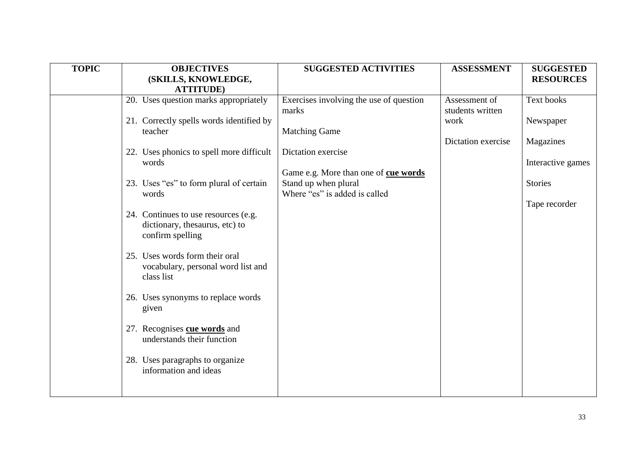| <b>TOPIC</b> | <b>OBJECTIVES</b>                                  | <b>SUGGESTED ACTIVITIES</b>             | <b>ASSESSMENT</b>  | <b>SUGGESTED</b>  |
|--------------|----------------------------------------------------|-----------------------------------------|--------------------|-------------------|
|              | (SKILLS, KNOWLEDGE,                                |                                         |                    | <b>RESOURCES</b>  |
|              | <b>ATTITUDE</b> )                                  |                                         |                    |                   |
|              | 20. Uses question marks appropriately              | Exercises involving the use of question | Assessment of      | Text books        |
|              |                                                    | marks                                   | students written   |                   |
|              | 21. Correctly spells words identified by           |                                         | work               | Newspaper         |
|              | teacher                                            | <b>Matching Game</b>                    |                    |                   |
|              |                                                    |                                         | Dictation exercise | Magazines         |
|              | 22. Uses phonics to spell more difficult           | Dictation exercise                      |                    |                   |
|              | words                                              |                                         |                    | Interactive games |
|              |                                                    | Game e.g. More than one of cue words    |                    |                   |
|              | 23. Uses "es" to form plural of certain            | Stand up when plural                    |                    | <b>Stories</b>    |
|              | words                                              | Where "es" is added is called           |                    |                   |
|              |                                                    |                                         |                    | Tape recorder     |
|              | 24. Continues to use resources (e.g.               |                                         |                    |                   |
|              | dictionary, thesaurus, etc) to<br>confirm spelling |                                         |                    |                   |
|              |                                                    |                                         |                    |                   |
|              | 25. Uses words form their oral                     |                                         |                    |                   |
|              | vocabulary, personal word list and                 |                                         |                    |                   |
|              | class list                                         |                                         |                    |                   |
|              |                                                    |                                         |                    |                   |
|              | 26. Uses synonyms to replace words                 |                                         |                    |                   |
|              | given                                              |                                         |                    |                   |
|              |                                                    |                                         |                    |                   |
|              | 27. Recognises cue words and                       |                                         |                    |                   |
|              | understands their function                         |                                         |                    |                   |
|              |                                                    |                                         |                    |                   |
|              | 28. Uses paragraphs to organize                    |                                         |                    |                   |
|              | information and ideas                              |                                         |                    |                   |
|              |                                                    |                                         |                    |                   |
|              |                                                    |                                         |                    |                   |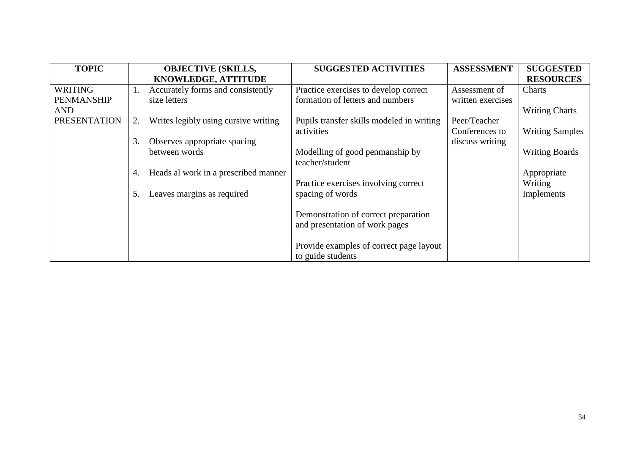| <b>TOPIC</b>        |    | <b>OBJECTIVE (SKILLS,</b>            | <b>SUGGESTED ACTIVITIES</b>               | <b>ASSESSMENT</b> | <b>SUGGESTED</b>       |
|---------------------|----|--------------------------------------|-------------------------------------------|-------------------|------------------------|
|                     |    | KNOWLEDGE, ATTITUDE                  |                                           |                   | <b>RESOURCES</b>       |
| <b>WRITING</b>      | 1. | Accurately forms and consistently    | Practice exercises to develop correct     | Assessment of     | Charts                 |
| <b>PENMANSHIP</b>   |    | size letters                         | formation of letters and numbers          | written exercises |                        |
| <b>AND</b>          |    |                                      |                                           |                   | <b>Writing Charts</b>  |
| <b>PRESENTATION</b> | 2. | Writes legibly using cursive writing | Pupils transfer skills modeled in writing | Peer/Teacher      |                        |
|                     |    |                                      | activities                                | Conferences to    | <b>Writing Samples</b> |
|                     | 3. | Observes appropriate spacing         |                                           | discuss writing   |                        |
|                     |    | between words                        | Modelling of good penmanship by           |                   | <b>Writing Boards</b>  |
|                     |    |                                      | teacher/student                           |                   |                        |
|                     | 4. | Heads al work in a prescribed manner |                                           |                   | Appropriate            |
|                     |    |                                      | Practice exercises involving correct      |                   | Writing                |
|                     | 5. | Leaves margins as required           | spacing of words                          |                   | Implements             |
|                     |    |                                      |                                           |                   |                        |
|                     |    |                                      | Demonstration of correct preparation      |                   |                        |
|                     |    |                                      | and presentation of work pages            |                   |                        |
|                     |    |                                      |                                           |                   |                        |
|                     |    |                                      | Provide examples of correct page layout   |                   |                        |
|                     |    |                                      | to guide students                         |                   |                        |